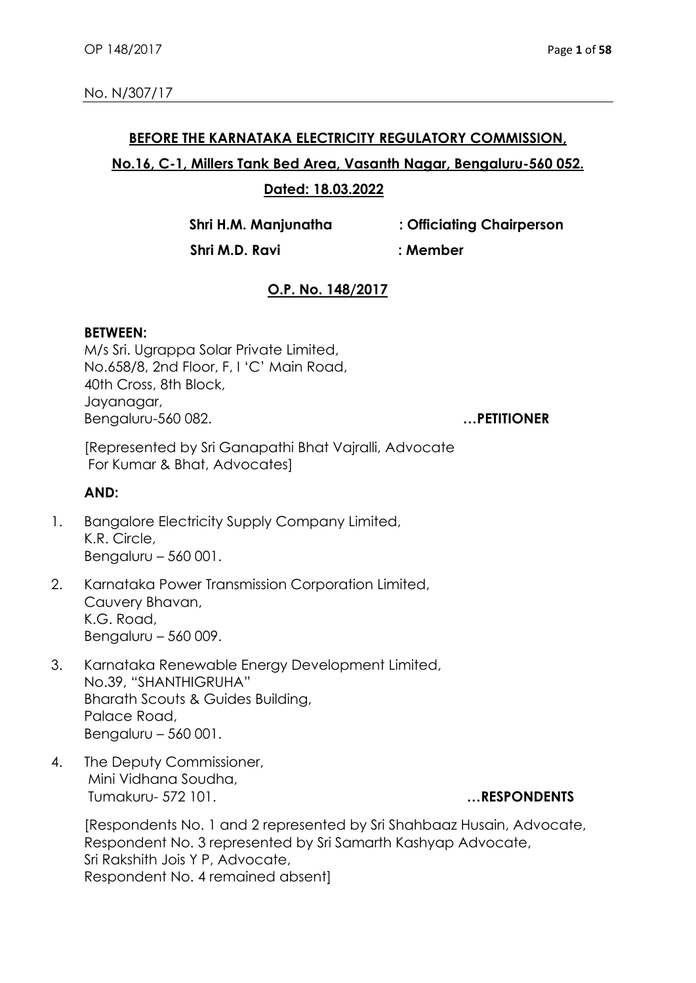#### **BEFORE THE KARNATAKA ELECTRICITY REGULATORY COMMISSION,**

# **No.16, C-1, Millers Tank Bed Area, Vasanth Nagar, Bengaluru-560 052.**

## **Dated: 18.03.2022**

**Shri H.M. Manjunatha : Officiating Chairperson**

 **Shri M.D. Ravi : Member**

## **O.P. No. 148/2017**

### **BETWEEN:**

M/s Sri. Ugrappa Solar Private Limited, No.658/8, 2nd Floor, F, I 'C' Main Road, 40th Cross, 8th Block, Jayanagar, Bengaluru-560 082. **…PETITIONER**

[Represented by Sri Ganapathi Bhat Vajralli, Advocate For Kumar & Bhat, Advocates]

## **AND:**

- 1. Bangalore Electricity Supply Company Limited, K.R. Circle, Bengaluru – 560 001.
- 2. Karnataka Power Transmission Corporation Limited, Cauvery Bhavan, K.G. Road, Bengaluru – 560 009.
- 3. Karnataka Renewable Energy Development Limited, No.39, "SHANTHIGRUHA" Bharath Scouts & Guides Building, Palace Road, Bengaluru – 560 001.
- 4. The Deputy Commissioner, Mini Vidhana Soudha, Tumakuru- 572 101. **…RESPONDENTS**

[Respondents No. 1 and 2 represented by Sri Shahbaaz Husain, Advocate, Respondent No. 3 represented by Sri Samarth Kashyap Advocate, Sri Rakshith Jois Y P, Advocate, Respondent No. 4 remained absent]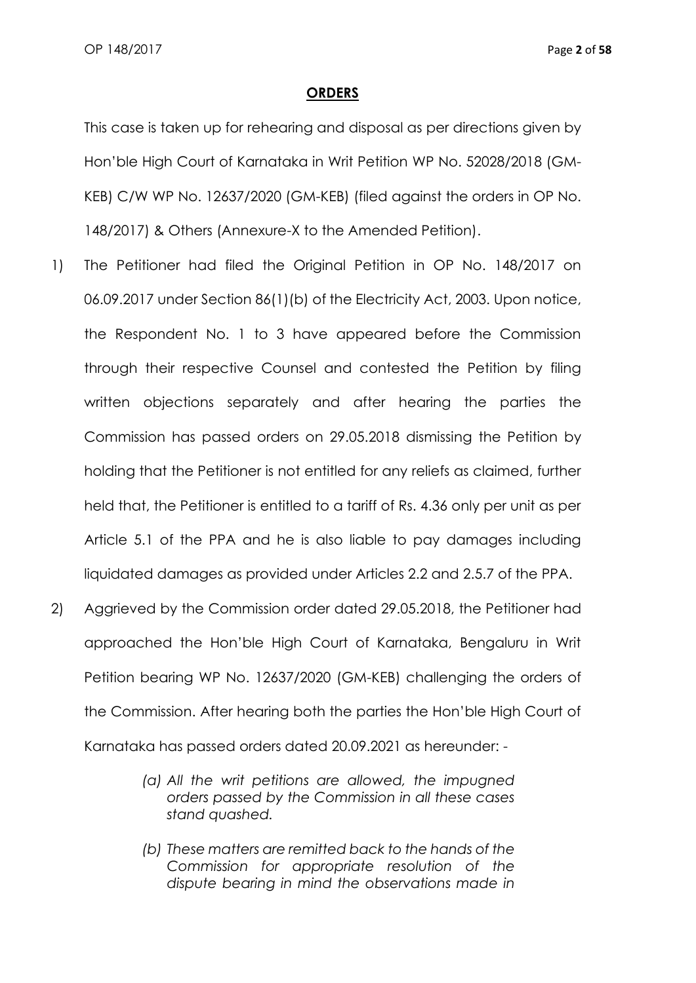#### **ORDERS**

This case is taken up for rehearing and disposal as per directions given by Hon'ble High Court of Karnataka in Writ Petition WP No. 52028/2018 (GM-KEB) C/W WP No. 12637/2020 (GM-KEB) (filed against the orders in OP No. 148/2017) & Others (Annexure-X to the Amended Petition).

- 1) The Petitioner had filed the Original Petition in OP No. 148/2017 on 06.09.2017 under Section 86(1)(b) of the Electricity Act, 2003. Upon notice, the Respondent No. 1 to 3 have appeared before the Commission through their respective Counsel and contested the Petition by filing written objections separately and after hearing the parties the Commission has passed orders on 29.05.2018 dismissing the Petition by holding that the Petitioner is not entitled for any reliefs as claimed, further held that, the Petitioner is entitled to a tariff of Rs. 4.36 only per unit as per Article 5.1 of the PPA and he is also liable to pay damages including liquidated damages as provided under Articles 2.2 and 2.5.7 of the PPA.
- 2) Aggrieved by the Commission order dated 29.05.2018, the Petitioner had approached the Hon'ble High Court of Karnataka, Bengaluru in Writ Petition bearing WP No. 12637/2020 (GM-KEB) challenging the orders of the Commission. After hearing both the parties the Hon'ble High Court of Karnataka has passed orders dated 20.09.2021 as hereunder: -
	- *(a) All the writ petitions are allowed, the impugned orders passed by the Commission in all these cases stand quashed.*
	- *(b) These matters are remitted back to the hands of the Commission for appropriate resolution of the dispute bearing in mind the observations made in*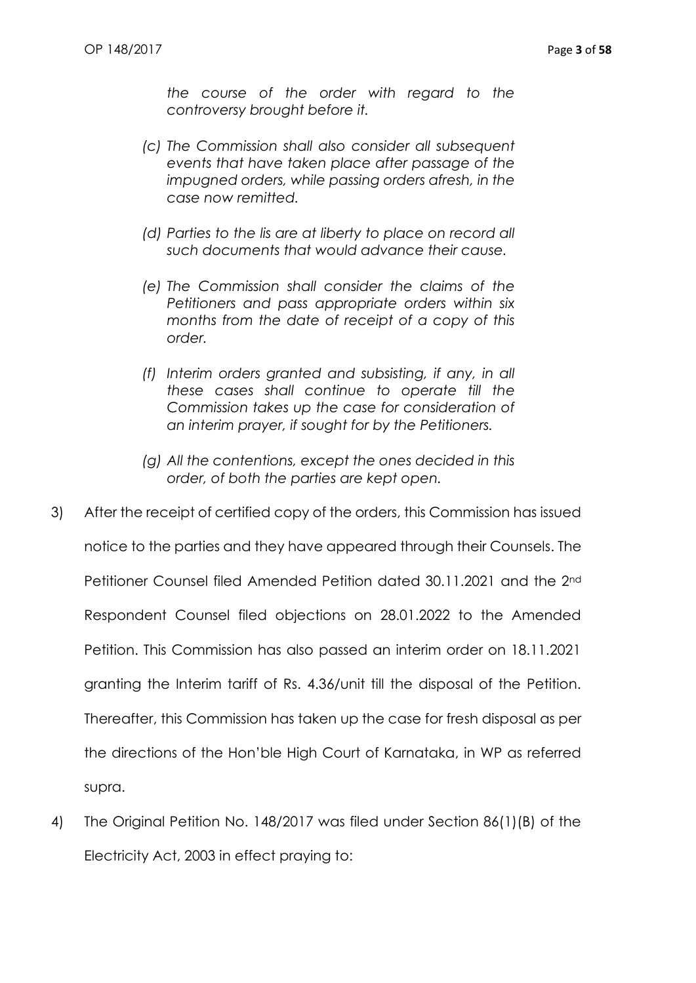*the course of the order with regard to the controversy brought before it.*

- *(c) The Commission shall also consider all subsequent events that have taken place after passage of the impugned orders, while passing orders afresh, in the case now remitted.*
- *(d) Parties to the lis are at liberty to place on record all such documents that would advance their cause.*
- *(e) The Commission shall consider the claims of the Petitioners and pass appropriate orders within six months from the date of receipt of a copy of this order.*
- *(f) Interim orders granted and subsisting, if any, in all these cases shall continue to operate till the Commission takes up the case for consideration of an interim prayer, if sought for by the Petitioners.*
- *(g) All the contentions, except the ones decided in this order, of both the parties are kept open.*
- 3) After the receipt of certified copy of the orders, this Commission has issued notice to the parties and they have appeared through their Counsels. The Petitioner Counsel filed Amended Petition dated 30.11.2021 and the 2nd Respondent Counsel filed objections on 28.01.2022 to the Amended Petition. This Commission has also passed an interim order on 18.11.2021 granting the Interim tariff of Rs. 4.36/unit till the disposal of the Petition. Thereafter, this Commission has taken up the case for fresh disposal as per the directions of the Hon'ble High Court of Karnataka, in WP as referred supra.
- 4) The Original Petition No. 148/2017 was filed under Section 86(1)(B) of the Electricity Act, 2003 in effect praying to: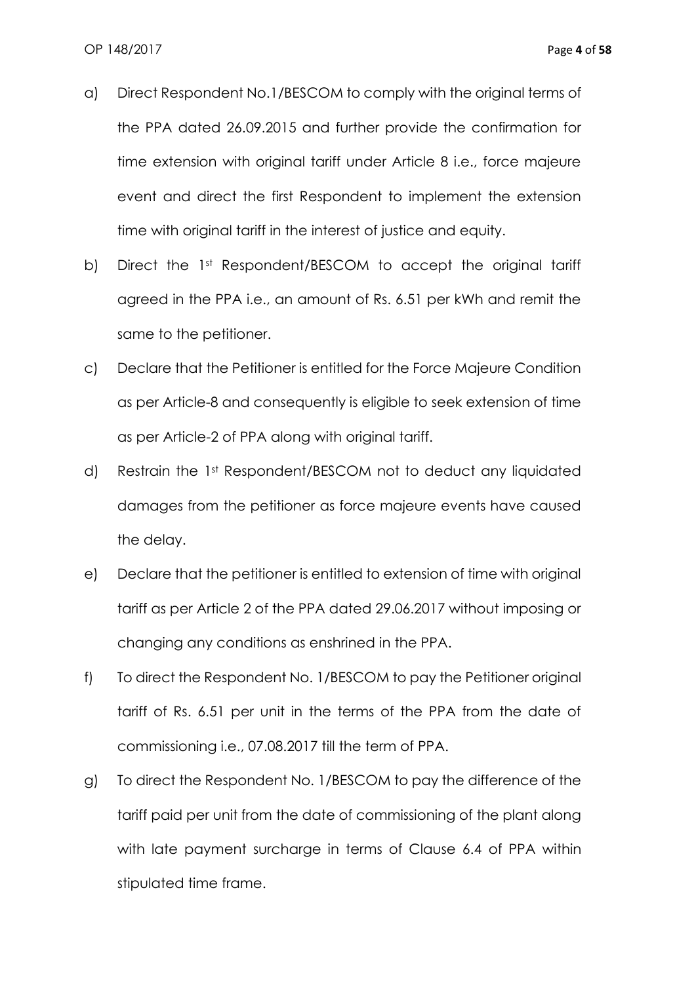- a) Direct Respondent No.1/BESCOM to comply with the original terms of the PPA dated 26.09.2015 and further provide the confirmation for time extension with original tariff under Article 8 i.e., force majeure event and direct the first Respondent to implement the extension time with original tariff in the interest of justice and equity.
- b) Direct the 1st Respondent/BESCOM to accept the original tariff agreed in the PPA i.e., an amount of Rs. 6.51 per kWh and remit the same to the petitioner.
- c) Declare that the Petitioner is entitled for the Force Majeure Condition as per Article-8 and consequently is eligible to seek extension of time as per Article-2 of PPA along with original tariff.
- d) Restrain the 1st Respondent/BESCOM not to deduct any liquidated damages from the petitioner as force majeure events have caused the delay.
- e) Declare that the petitioner is entitled to extension of time with original tariff as per Article 2 of the PPA dated 29.06.2017 without imposing or changing any conditions as enshrined in the PPA.
- f) To direct the Respondent No. 1/BESCOM to pay the Petitioner original tariff of Rs. 6.51 per unit in the terms of the PPA from the date of commissioning i.e., 07.08.2017 till the term of PPA.
- g) To direct the Respondent No. 1/BESCOM to pay the difference of the tariff paid per unit from the date of commissioning of the plant along with late payment surcharge in terms of Clause 6.4 of PPA within stipulated time frame.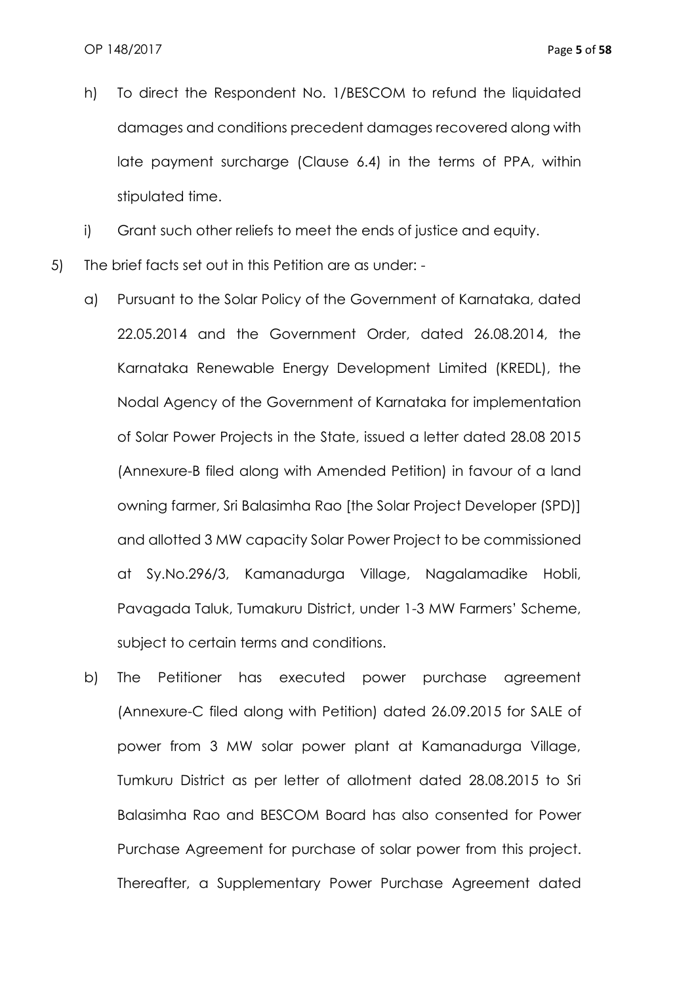h) To direct the Respondent No. 1/BESCOM to refund the liquidated damages and conditions precedent damages recovered along with late payment surcharge (Clause 6.4) in the terms of PPA, within stipulated time.

i) Grant such other reliefs to meet the ends of justice and equity.

- 5) The brief facts set out in this Petition are as under:
	- a) Pursuant to the Solar Policy of the Government of Karnataka, dated 22.05.2014 and the Government Order, dated 26.08.2014, the Karnataka Renewable Energy Development Limited (KREDL), the Nodal Agency of the Government of Karnataka for implementation of Solar Power Projects in the State, issued a letter dated 28.08 2015 (Annexure-B filed along with Amended Petition) in favour of a land owning farmer, Sri Balasimha Rao [the Solar Project Developer (SPD)] and allotted 3 MW capacity Solar Power Project to be commissioned at Sy.No.296/3, Kamanadurga Village, Nagalamadike Hobli, Pavagada Taluk, Tumakuru District, under 1-3 MW Farmers' Scheme, subject to certain terms and conditions.
	- b) The Petitioner has executed power purchase agreement (Annexure-C filed along with Petition) dated 26.09.2015 for SALE of power from 3 MW solar power plant at Kamanadurga Village, Tumkuru District as per letter of allotment dated 28.08.2015 to Sri Balasimha Rao and BESCOM Board has also consented for Power Purchase Agreement for purchase of solar power from this project. Thereafter, a Supplementary Power Purchase Agreement dated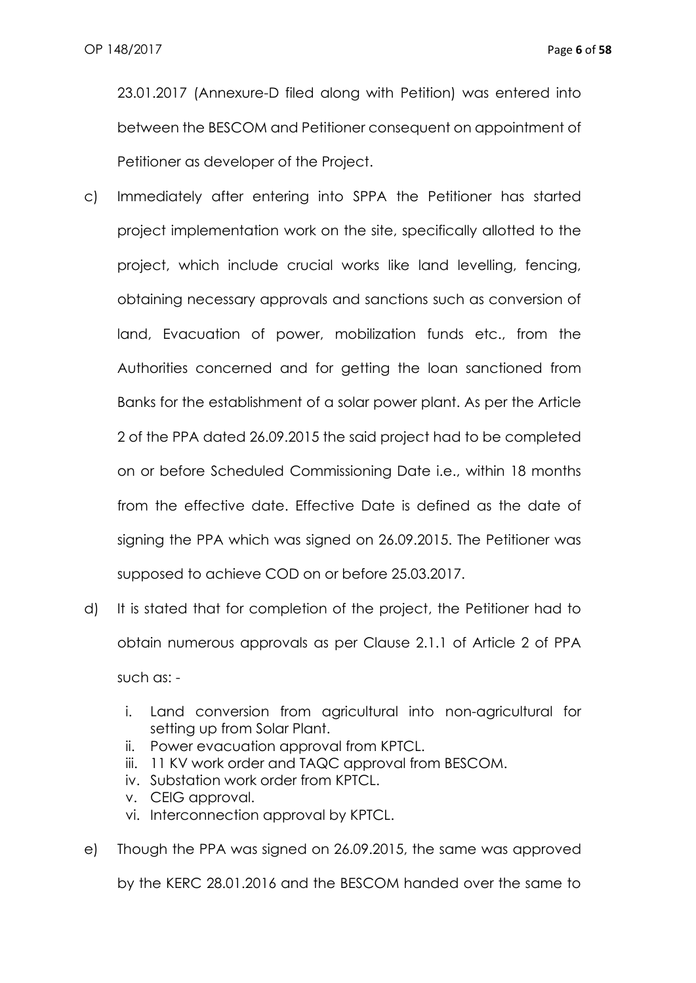23.01.2017 (Annexure-D filed along with Petition) was entered into between the BESCOM and Petitioner consequent on appointment of Petitioner as developer of the Project.

- c) Immediately after entering into SPPA the Petitioner has started project implementation work on the site, specifically allotted to the project, which include crucial works like land levelling, fencing, obtaining necessary approvals and sanctions such as conversion of land, Evacuation of power, mobilization funds etc., from the Authorities concerned and for getting the loan sanctioned from Banks for the establishment of a solar power plant. As per the Article 2 of the PPA dated 26.09.2015 the said project had to be completed on or before Scheduled Commissioning Date i.e., within 18 months from the effective date. Effective Date is defined as the date of signing the PPA which was signed on 26.09.2015. The Petitioner was supposed to achieve COD on or before 25.03.2017.
- d) It is stated that for completion of the project, the Petitioner had to obtain numerous approvals as per Clause 2.1.1 of Article 2 of PPA such as:
	- i. Land conversion from agricultural into non-agricultural for setting up from Solar Plant.
	- ii. Power evacuation approval from KPTCL.
	- iii. 11 KV work order and TAQC approval from BESCOM.
	- iv. Substation work order from KPTCL.
	- v. CEIG approval.
	- vi. Interconnection approval by KPTCL.
- e) Though the PPA was signed on 26.09.2015, the same was approved by the KERC 28.01.2016 and the BESCOM handed over the same to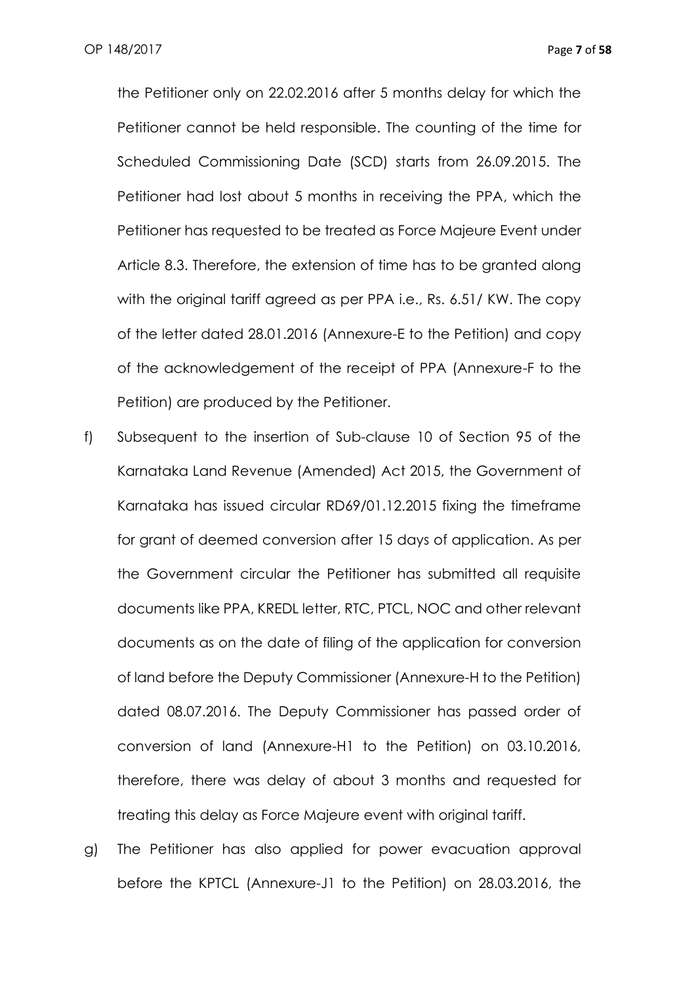the Petitioner only on 22.02.2016 after 5 months delay for which the Petitioner cannot be held responsible. The counting of the time for Scheduled Commissioning Date (SCD) starts from 26.09.2015. The Petitioner had lost about 5 months in receiving the PPA, which the Petitioner has requested to be treated as Force Majeure Event under Article 8.3. Therefore, the extension of time has to be granted along with the original tariff agreed as per PPA i.e., Rs. 6.51/ KW. The copy of the letter dated 28.01.2016 (Annexure-E to the Petition) and copy of the acknowledgement of the receipt of PPA (Annexure-F to the Petition) are produced by the Petitioner.

- f) Subsequent to the insertion of Sub-clause 10 of Section 95 of the Karnataka Land Revenue (Amended) Act 2015, the Government of Karnataka has issued circular RD69/01.12.2015 fixing the timeframe for grant of deemed conversion after 15 days of application. As per the Government circular the Petitioner has submitted all requisite documents like PPA, KREDL letter, RTC, PTCL, NOC and other relevant documents as on the date of filing of the application for conversion of land before the Deputy Commissioner (Annexure-H to the Petition) dated 08.07.2016. The Deputy Commissioner has passed order of conversion of land (Annexure-H1 to the Petition) on 03.10.2016, therefore, there was delay of about 3 months and requested for treating this delay as Force Majeure event with original tariff.
- g) The Petitioner has also applied for power evacuation approval before the KPTCL (Annexure-J1 to the Petition) on 28.03.2016, the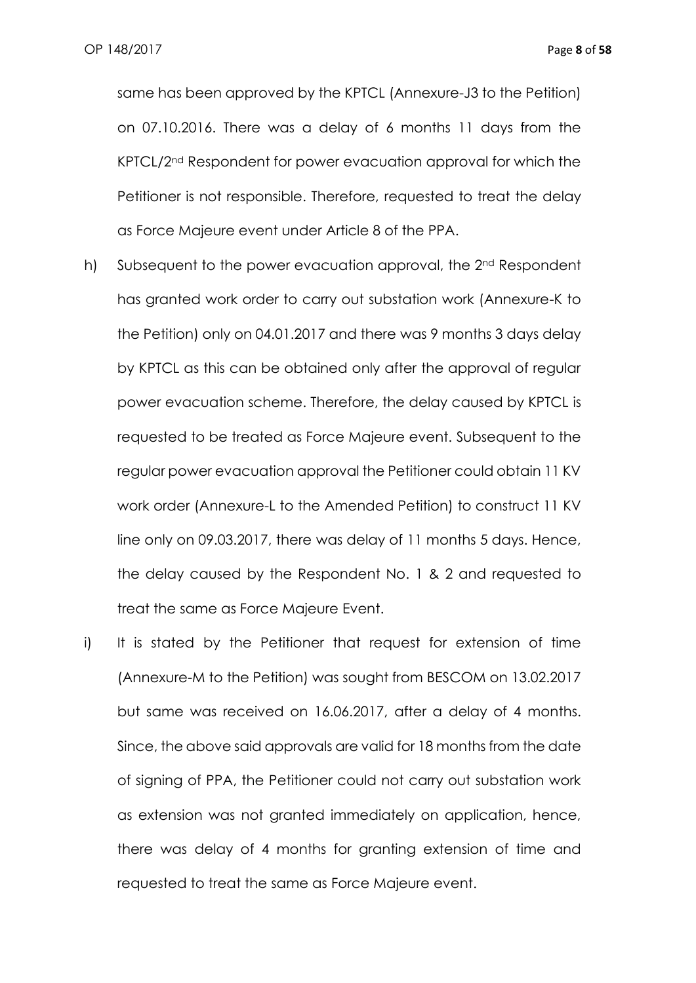same has been approved by the KPTCL (Annexure-J3 to the Petition) on 07.10.2016. There was a delay of 6 months 11 days from the KPTCL/2nd Respondent for power evacuation approval for which the Petitioner is not responsible. Therefore, requested to treat the delay as Force Majeure event under Article 8 of the PPA.

- h) Subsequent to the power evacuation approval, the 2<sup>nd</sup> Respondent has granted work order to carry out substation work (Annexure-K to the Petition) only on 04.01.2017 and there was 9 months 3 days delay by KPTCL as this can be obtained only after the approval of regular power evacuation scheme. Therefore, the delay caused by KPTCL is requested to be treated as Force Majeure event. Subsequent to the regular power evacuation approval the Petitioner could obtain 11 KV work order (Annexure-L to the Amended Petition) to construct 11 KV line only on 09.03.2017, there was delay of 11 months 5 days. Hence, the delay caused by the Respondent No. 1 & 2 and requested to treat the same as Force Majeure Event.
- i) It is stated by the Petitioner that request for extension of time (Annexure-M to the Petition) was sought from BESCOM on 13.02.2017 but same was received on 16.06.2017, after a delay of 4 months. Since, the above said approvals are valid for 18 months from the date of signing of PPA, the Petitioner could not carry out substation work as extension was not granted immediately on application, hence, there was delay of 4 months for granting extension of time and requested to treat the same as Force Majeure event.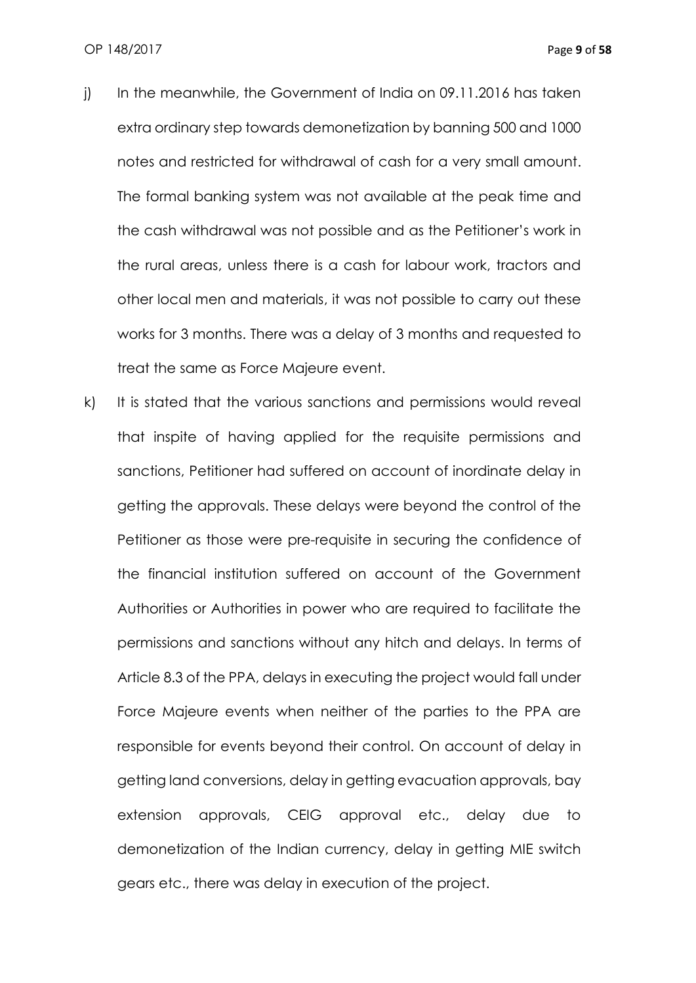- j) In the meanwhile, the Government of India on 09.11.2016 has taken extra ordinary step towards demonetization by banning 500 and 1000 notes and restricted for withdrawal of cash for a very small amount. The formal banking system was not available at the peak time and the cash withdrawal was not possible and as the Petitioner's work in the rural areas, unless there is a cash for labour work, tractors and other local men and materials, it was not possible to carry out these works for 3 months. There was a delay of 3 months and requested to treat the same as Force Majeure event.
- k) It is stated that the various sanctions and permissions would reveal that inspite of having applied for the requisite permissions and sanctions, Petitioner had suffered on account of inordinate delay in getting the approvals. These delays were beyond the control of the Petitioner as those were pre-requisite in securing the confidence of the financial institution suffered on account of the Government Authorities or Authorities in power who are required to facilitate the permissions and sanctions without any hitch and delays. In terms of Article 8.3 of the PPA, delays in executing the project would fall under Force Majeure events when neither of the parties to the PPA are responsible for events beyond their control. On account of delay in getting land conversions, delay in getting evacuation approvals, bay extension approvals, CEIG approval etc., delay due to demonetization of the Indian currency, delay in getting MIE switch gears etc., there was delay in execution of the project.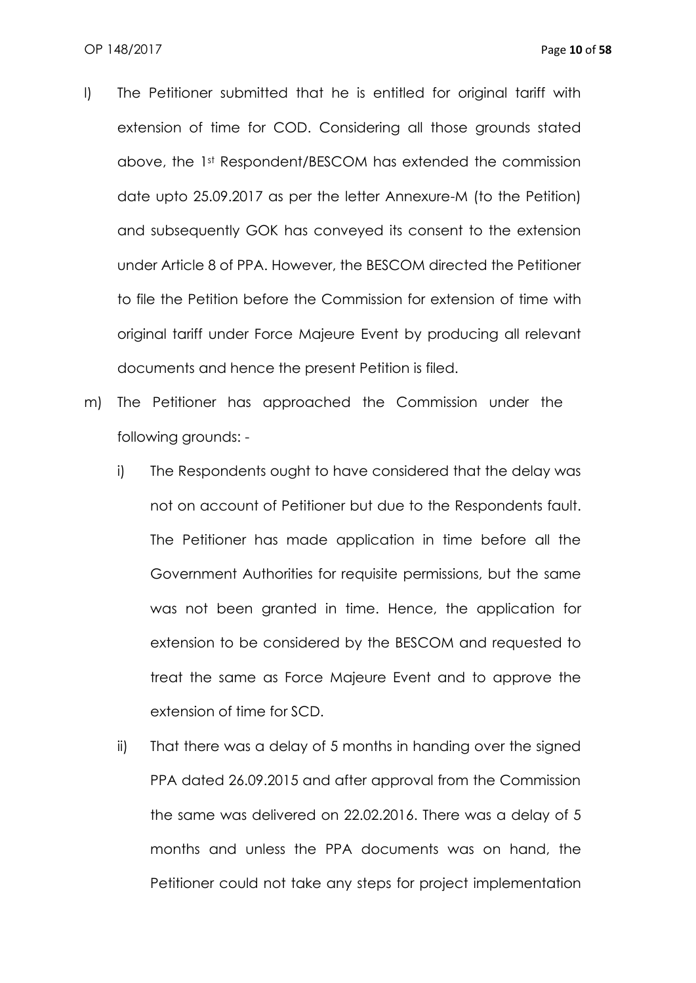- l) The Petitioner submitted that he is entitled for original tariff with extension of time for COD. Considering all those grounds stated above, the 1st Respondent/BESCOM has extended the commission date upto 25.09.2017 as per the letter Annexure-M (to the Petition) and subsequently GOK has conveyed its consent to the extension under Article 8 of PPA. However, the BESCOM directed the Petitioner to file the Petition before the Commission for extension of time with original tariff under Force Majeure Event by producing all relevant documents and hence the present Petition is filed.
- m) The Petitioner has approached the Commission under the following grounds:
	- i) The Respondents ought to have considered that the delay was not on account of Petitioner but due to the Respondents fault. The Petitioner has made application in time before all the Government Authorities for requisite permissions, but the same was not been granted in time. Hence, the application for extension to be considered by the BESCOM and requested to treat the same as Force Majeure Event and to approve the extension of time for SCD.
	- ii) That there was a delay of 5 months in handing over the signed PPA dated 26.09.2015 and after approval from the Commission the same was delivered on 22.02.2016. There was a delay of 5 months and unless the PPA documents was on hand, the Petitioner could not take any steps for project implementation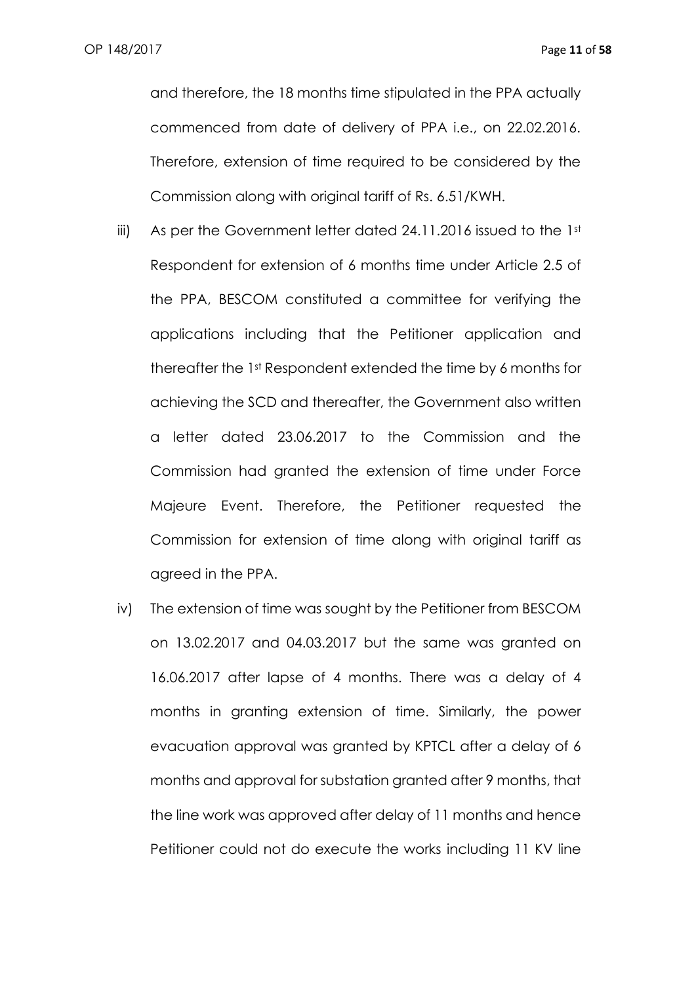and therefore, the 18 months time stipulated in the PPA actually commenced from date of delivery of PPA i.e., on 22.02.2016. Therefore, extension of time required to be considered by the Commission along with original tariff of Rs. 6.51/KWH.

- iii) As per the Government letter dated 24.11.2016 issued to the 1st Respondent for extension of 6 months time under Article 2.5 of the PPA, BESCOM constituted a committee for verifying the applications including that the Petitioner application and thereafter the 1st Respondent extended the time by 6 months for achieving the SCD and thereafter, the Government also written a letter dated 23.06.2017 to the Commission and the Commission had granted the extension of time under Force Majeure Event. Therefore, the Petitioner requested the Commission for extension of time along with original tariff as agreed in the PPA.
- iv) The extension of time was sought by the Petitioner from BESCOM on 13.02.2017 and 04.03.2017 but the same was granted on 16.06.2017 after lapse of 4 months. There was a delay of 4 months in granting extension of time. Similarly, the power evacuation approval was granted by KPTCL after a delay of 6 months and approval for substation granted after 9 months, that the line work was approved after delay of 11 months and hence Petitioner could not do execute the works including 11 KV line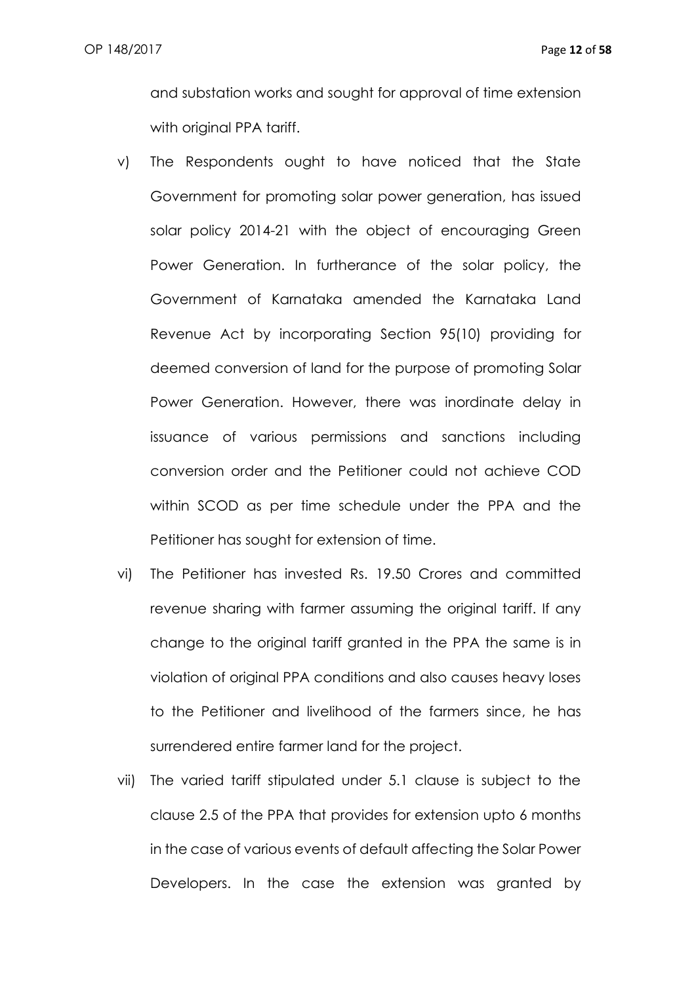and substation works and sought for approval of time extension with original PPA tariff.

- v) The Respondents ought to have noticed that the State Government for promoting solar power generation, has issued solar policy 2014-21 with the object of encouraging Green Power Generation. In furtherance of the solar policy, the Government of Karnataka amended the Karnataka Land Revenue Act by incorporating Section 95(10) providing for deemed conversion of land for the purpose of promoting Solar Power Generation. However, there was inordinate delay in issuance of various permissions and sanctions including conversion order and the Petitioner could not achieve COD within SCOD as per time schedule under the PPA and the Petitioner has sought for extension of time.
- vi) The Petitioner has invested Rs. 19.50 Crores and committed revenue sharing with farmer assuming the original tariff. If any change to the original tariff granted in the PPA the same is in violation of original PPA conditions and also causes heavy loses to the Petitioner and livelihood of the farmers since, he has surrendered entire farmer land for the project.
- vii) The varied tariff stipulated under 5.1 clause is subject to the clause 2.5 of the PPA that provides for extension upto 6 months in the case of various events of default affecting the Solar Power Developers. In the case the extension was granted by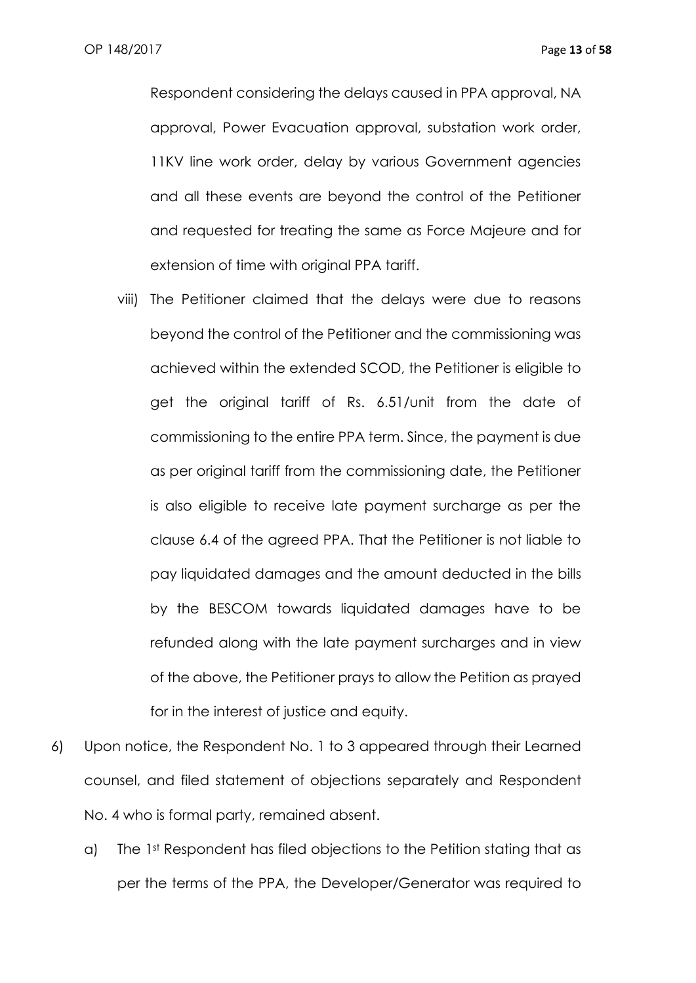Respondent considering the delays caused in PPA approval, NA approval, Power Evacuation approval, substation work order, 11KV line work order, delay by various Government agencies and all these events are beyond the control of the Petitioner and requested for treating the same as Force Majeure and for extension of time with original PPA tariff.

- viii) The Petitioner claimed that the delays were due to reasons beyond the control of the Petitioner and the commissioning was achieved within the extended SCOD, the Petitioner is eligible to get the original tariff of Rs. 6.51/unit from the date of commissioning to the entire PPA term. Since, the payment is due as per original tariff from the commissioning date, the Petitioner is also eligible to receive late payment surcharge as per the clause 6.4 of the agreed PPA. That the Petitioner is not liable to pay liquidated damages and the amount deducted in the bills by the BESCOM towards liquidated damages have to be refunded along with the late payment surcharges and in view of the above, the Petitioner prays to allow the Petition as prayed for in the interest of justice and equity.
- 6) Upon notice, the Respondent No. 1 to 3 appeared through their Learned counsel, and filed statement of objections separately and Respondent No. 4 who is formal party, remained absent.
	- a) The 1st Respondent has filed objections to the Petition stating that as per the terms of the PPA, the Developer/Generator was required to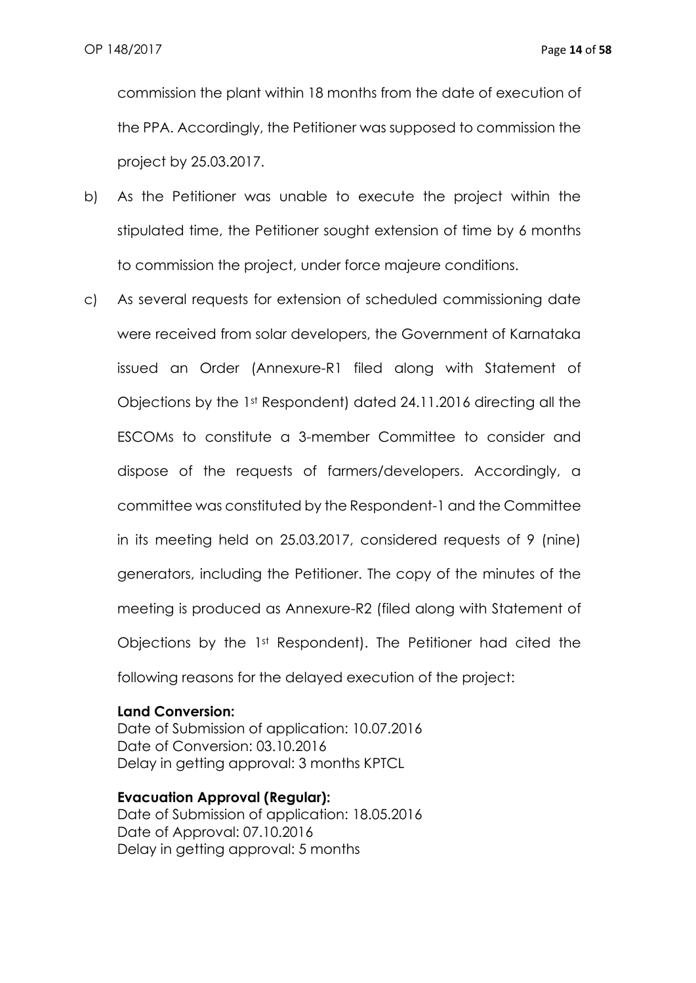commission the plant within 18 months from the date of execution of the PPA. Accordingly, the Petitioner was supposed to commission the project by 25.03.2017.

- b) As the Petitioner was unable to execute the project within the stipulated time, the Petitioner sought extension of time by 6 months to commission the project, under force majeure conditions.
- c) As several requests for extension of scheduled commissioning date were received from solar developers, the Government of Karnataka issued an Order (Annexure-R1 filed along with Statement of Objections by the 1st Respondent) dated 24.11.2016 directing all the ESCOMs to constitute a 3-member Committee to consider and dispose of the requests of farmers/developers. Accordingly, a committee was constituted by the Respondent-1 and the Committee in its meeting held on 25.03.2017, considered requests of 9 (nine) generators, including the Petitioner. The copy of the minutes of the meeting is produced as Annexure-R2 (filed along with Statement of Objections by the 1st Respondent). The Petitioner had cited the following reasons for the delayed execution of the project:

#### **Land Conversion:**

Date of Submission of application: 10.07.2016 Date of Conversion: 03.10.2016 Delay in getting approval: 3 months KPTCL

#### **Evacuation Approval (Regular):**

Date of Submission of application: 18.05.2016 Date of Approval: 07.10.2016 Delay in getting approval: 5 months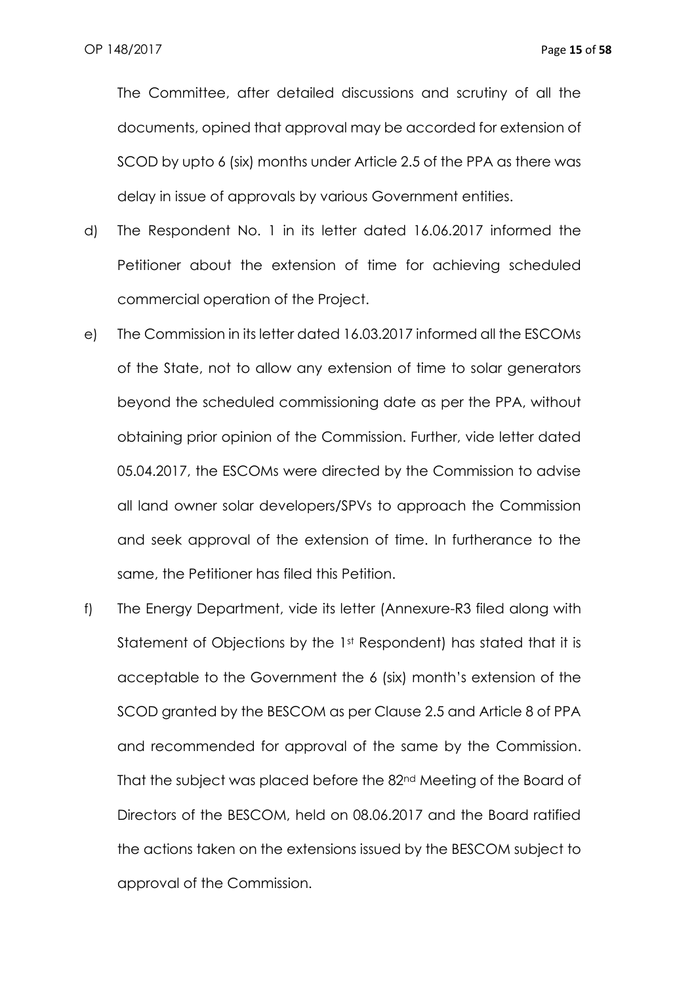The Committee, after detailed discussions and scrutiny of all the documents, opined that approval may be accorded for extension of SCOD by upto 6 (six) months under Article 2.5 of the PPA as there was delay in issue of approvals by various Government entities.

- d) The Respondent No. 1 in its letter dated 16.06.2017 informed the Petitioner about the extension of time for achieving scheduled commercial operation of the Project.
- e) The Commission in its letter dated 16.03.2017 informed all the ESCOMs of the State, not to allow any extension of time to solar generators beyond the scheduled commissioning date as per the PPA, without obtaining prior opinion of the Commission. Further, vide letter dated 05.04.2017, the ESCOMs were directed by the Commission to advise all land owner solar developers/SPVs to approach the Commission and seek approval of the extension of time. In furtherance to the same, the Petitioner has filed this Petition.
- f) The Energy Department, vide its letter (Annexure-R3 filed along with Statement of Objections by the 1st Respondent) has stated that it is acceptable to the Government the 6 (six) month's extension of the SCOD granted by the BESCOM as per Clause 2.5 and Article 8 of PPA and recommended for approval of the same by the Commission. That the subject was placed before the 82nd Meeting of the Board of Directors of the BESCOM, held on 08.06.2017 and the Board ratified the actions taken on the extensions issued by the BESCOM subject to approval of the Commission.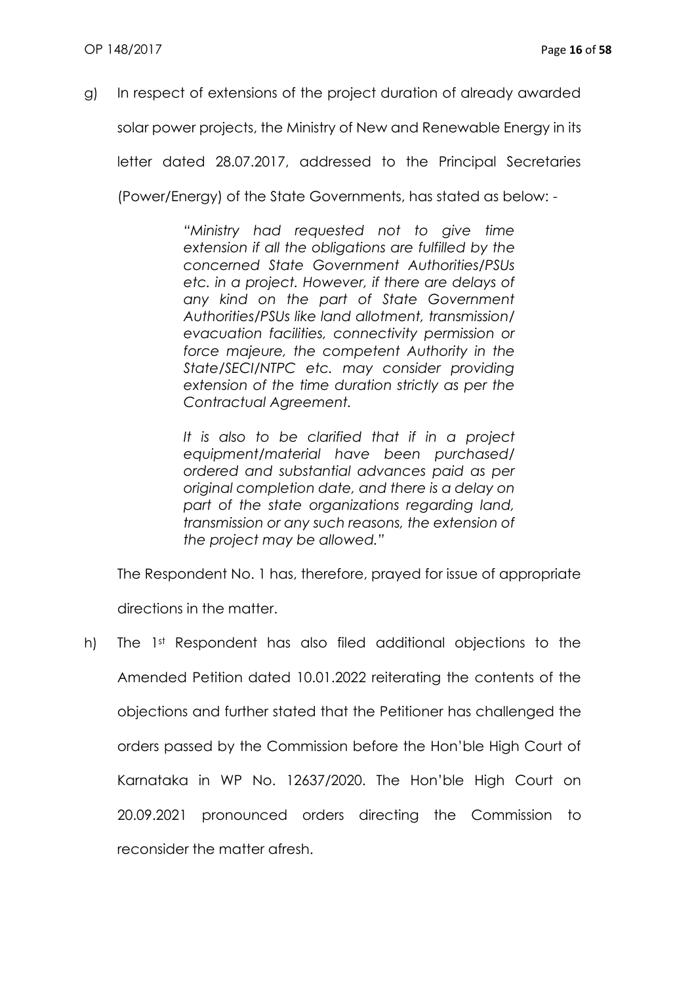g) In respect of extensions of the project duration of already awarded

solar power projects, the Ministry of New and Renewable Energy in its

letter dated 28.07.2017, addressed to the Principal Secretaries

(Power/Energy) of the State Governments, has stated as below: -

*"Ministry had requested not to give time extension if all the obligations are fulfilled by the concerned State Government Authorities/PSUs etc. in a project. However, if there are delays of any kind on the part of State Government Authorities/PSUs like land allotment, transmission/ evacuation facilities, connectivity permission or force majeure, the competent Authority in the State/SECI/NTPC etc. may consider providing extension of the time duration strictly as per the Contractual Agreement.*

*It is also to be clarified that if in a project equipment/material have been purchased/ ordered and substantial advances paid as per original completion date, and there is a delay on part of the state organizations regarding land, transmission or any such reasons, the extension of the project may be allowed."*

The Respondent No. 1 has, therefore, prayed for issue of appropriate directions in the matter.

h) The 1st Respondent has also filed additional objections to the Amended Petition dated 10.01.2022 reiterating the contents of the objections and further stated that the Petitioner has challenged the orders passed by the Commission before the Hon'ble High Court of Karnataka in WP No. 12637/2020. The Hon'ble High Court on 20.09.2021 pronounced orders directing the Commission to reconsider the matter afresh.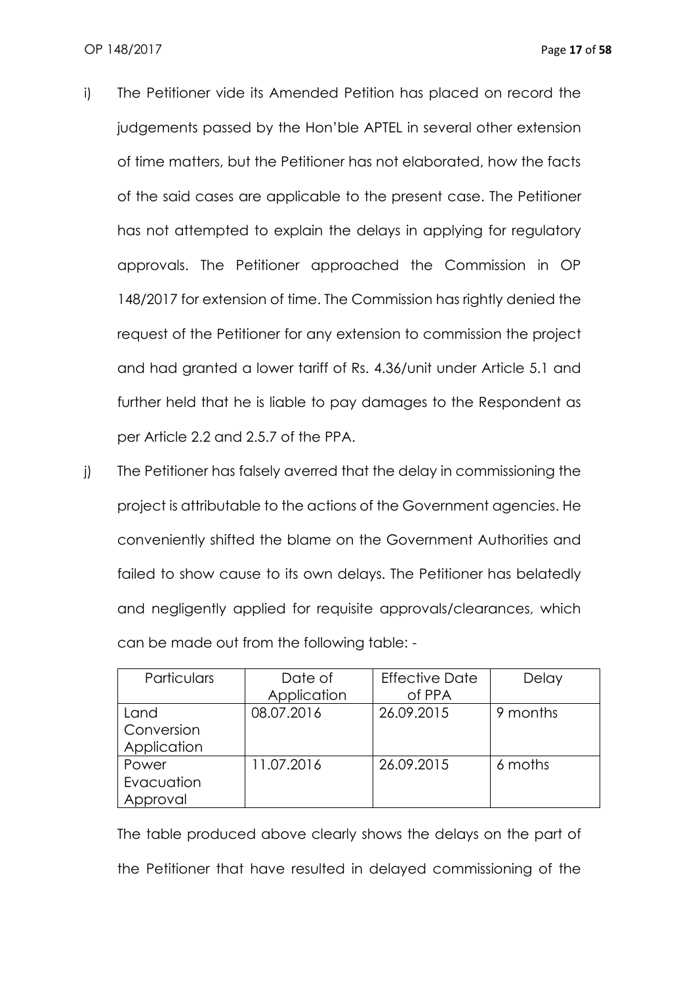- i) The Petitioner vide its Amended Petition has placed on record the judgements passed by the Hon'ble APTEL in several other extension of time matters, but the Petitioner has not elaborated, how the facts of the said cases are applicable to the present case. The Petitioner has not attempted to explain the delays in applying for regulatory approvals. The Petitioner approached the Commission in OP 148/2017 for extension of time. The Commission has rightly denied the request of the Petitioner for any extension to commission the project and had granted a lower tariff of Rs. 4.36/unit under Article 5.1 and further held that he is liable to pay damages to the Respondent as per Article 2.2 and 2.5.7 of the PPA.
- j) The Petitioner has falsely averred that the delay in commissioning the project is attributable to the actions of the Government agencies. He conveniently shifted the blame on the Government Authorities and failed to show cause to its own delays. The Petitioner has belatedly and negligently applied for requisite approvals/clearances, which can be made out from the following table: -

| Particulars | Date of     | <b>Effective Date</b> | Delay    |
|-------------|-------------|-----------------------|----------|
|             | Application | of PPA                |          |
| Land        | 08.07.2016  | 26.09.2015            | 9 months |
| Conversion  |             |                       |          |
| Application |             |                       |          |
| Power       | 11.07.2016  | 26.09.2015            | 6 moths  |
| Evacuation  |             |                       |          |
| Approval    |             |                       |          |

The table produced above clearly shows the delays on the part of the Petitioner that have resulted in delayed commissioning of the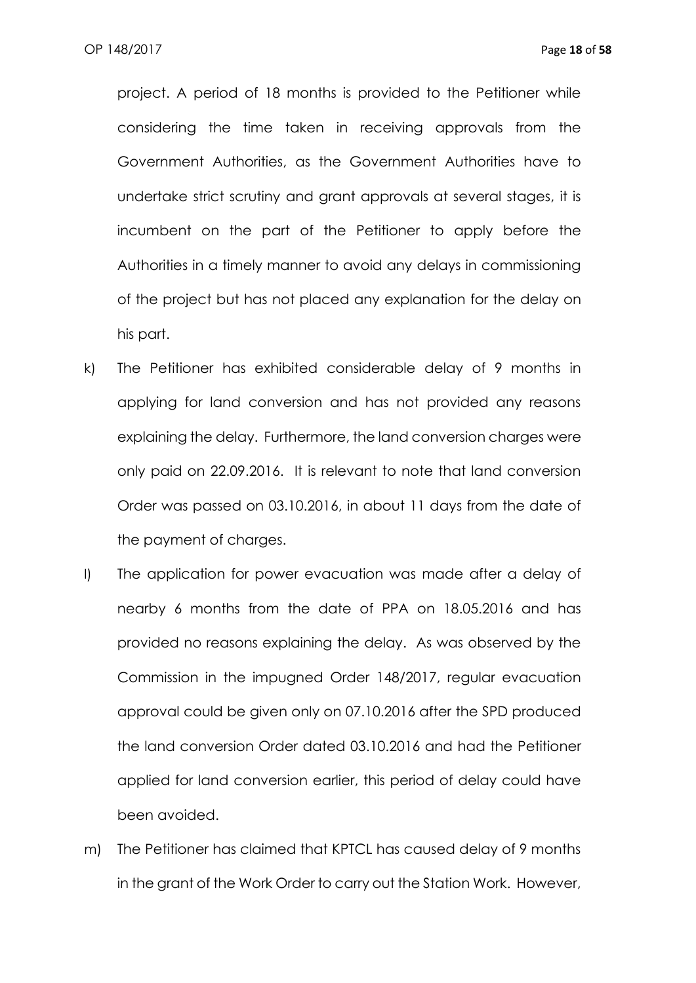project. A period of 18 months is provided to the Petitioner while considering the time taken in receiving approvals from the Government Authorities, as the Government Authorities have to undertake strict scrutiny and grant approvals at several stages, it is incumbent on the part of the Petitioner to apply before the Authorities in a timely manner to avoid any delays in commissioning of the project but has not placed any explanation for the delay on his part.

- k) The Petitioner has exhibited considerable delay of 9 months in applying for land conversion and has not provided any reasons explaining the delay. Furthermore, the land conversion charges were only paid on 22.09.2016. It is relevant to note that land conversion Order was passed on 03.10.2016, in about 11 days from the date of the payment of charges.
- l) The application for power evacuation was made after a delay of nearby 6 months from the date of PPA on 18.05.2016 and has provided no reasons explaining the delay. As was observed by the Commission in the impugned Order 148/2017, regular evacuation approval could be given only on 07.10.2016 after the SPD produced the land conversion Order dated 03.10.2016 and had the Petitioner applied for land conversion earlier, this period of delay could have been avoided.
- m) The Petitioner has claimed that KPTCL has caused delay of 9 months in the grant of the Work Order to carry out the Station Work. However,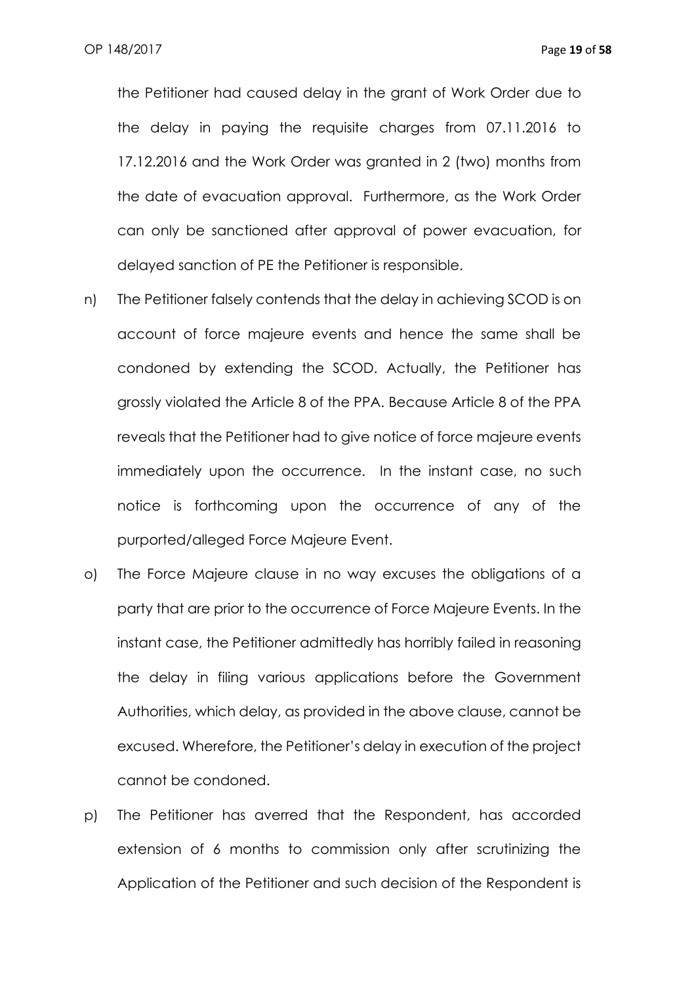the Petitioner had caused delay in the grant of Work Order due to the delay in paying the requisite charges from 07.11.2016 to 17.12.2016 and the Work Order was granted in 2 (two) months from the date of evacuation approval. Furthermore, as the Work Order can only be sanctioned after approval of power evacuation, for delayed sanction of PE the Petitioner is responsible.

- n) The Petitioner falsely contends that the delay in achieving SCOD is on account of force majeure events and hence the same shall be condoned by extending the SCOD. Actually, the Petitioner has grossly violated the Article 8 of the PPA. Because Article 8 of the PPA reveals that the Petitioner had to give notice of force majeure events immediately upon the occurrence. In the instant case, no such notice is forthcoming upon the occurrence of any of the purported/alleged Force Majeure Event.
- o) The Force Majeure clause in no way excuses the obligations of a party that are prior to the occurrence of Force Majeure Events. In the instant case, the Petitioner admittedly has horribly failed in reasoning the delay in filing various applications before the Government Authorities, which delay, as provided in the above clause, cannot be excused. Wherefore, the Petitioner's delay in execution of the project cannot be condoned.
- p) The Petitioner has averred that the Respondent, has accorded extension of 6 months to commission only after scrutinizing the Application of the Petitioner and such decision of the Respondent is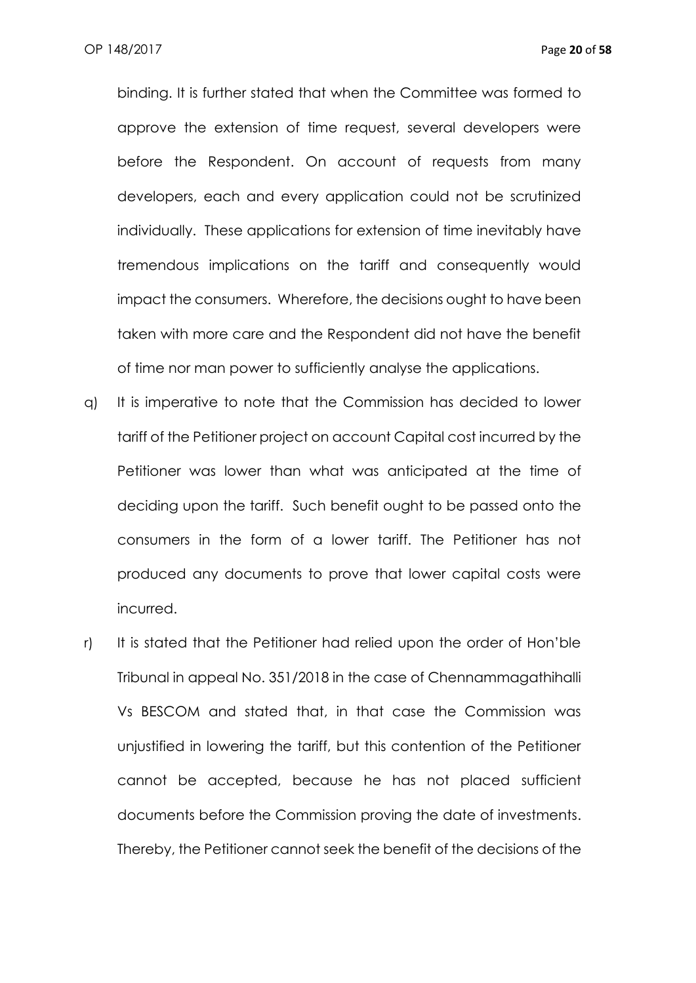binding. It is further stated that when the Committee was formed to approve the extension of time request, several developers were before the Respondent. On account of requests from many developers, each and every application could not be scrutinized individually. These applications for extension of time inevitably have tremendous implications on the tariff and consequently would impact the consumers. Wherefore, the decisions ought to have been taken with more care and the Respondent did not have the benefit of time nor man power to sufficiently analyse the applications.

- q) It is imperative to note that the Commission has decided to lower tariff of the Petitioner project on account Capital cost incurred by the Petitioner was lower than what was anticipated at the time of deciding upon the tariff. Such benefit ought to be passed onto the consumers in the form of a lower tariff. The Petitioner has not produced any documents to prove that lower capital costs were incurred.
- r) It is stated that the Petitioner had relied upon the order of Hon'ble Tribunal in appeal No. 351/2018 in the case of Chennammagathihalli Vs BESCOM and stated that, in that case the Commission was unjustified in lowering the tariff, but this contention of the Petitioner cannot be accepted, because he has not placed sufficient documents before the Commission proving the date of investments. Thereby, the Petitioner cannot seek the benefit of the decisions of the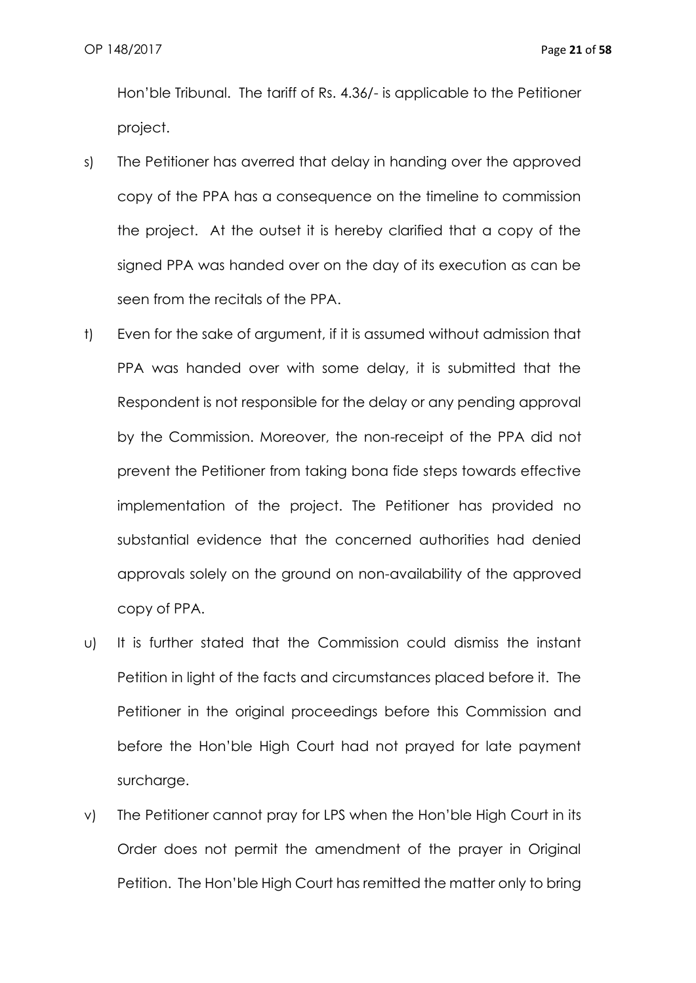Hon'ble Tribunal. The tariff of Rs. 4.36/- is applicable to the Petitioner project.

- s) The Petitioner has averred that delay in handing over the approved copy of the PPA has a consequence on the timeline to commission the project. At the outset it is hereby clarified that a copy of the signed PPA was handed over on the day of its execution as can be seen from the recitals of the PPA.
- t) Even for the sake of argument, if it is assumed without admission that PPA was handed over with some delay, it is submitted that the Respondent is not responsible for the delay or any pending approval by the Commission. Moreover, the non-receipt of the PPA did not prevent the Petitioner from taking bona fide steps towards effective implementation of the project. The Petitioner has provided no substantial evidence that the concerned authorities had denied approvals solely on the ground on non-availability of the approved copy of PPA.
- u) It is further stated that the Commission could dismiss the instant Petition in light of the facts and circumstances placed before it. The Petitioner in the original proceedings before this Commission and before the Hon'ble High Court had not prayed for late payment surcharge.
- v) The Petitioner cannot pray for LPS when the Hon'ble High Court in its Order does not permit the amendment of the prayer in Original Petition. The Hon'ble High Court has remitted the matter only to bring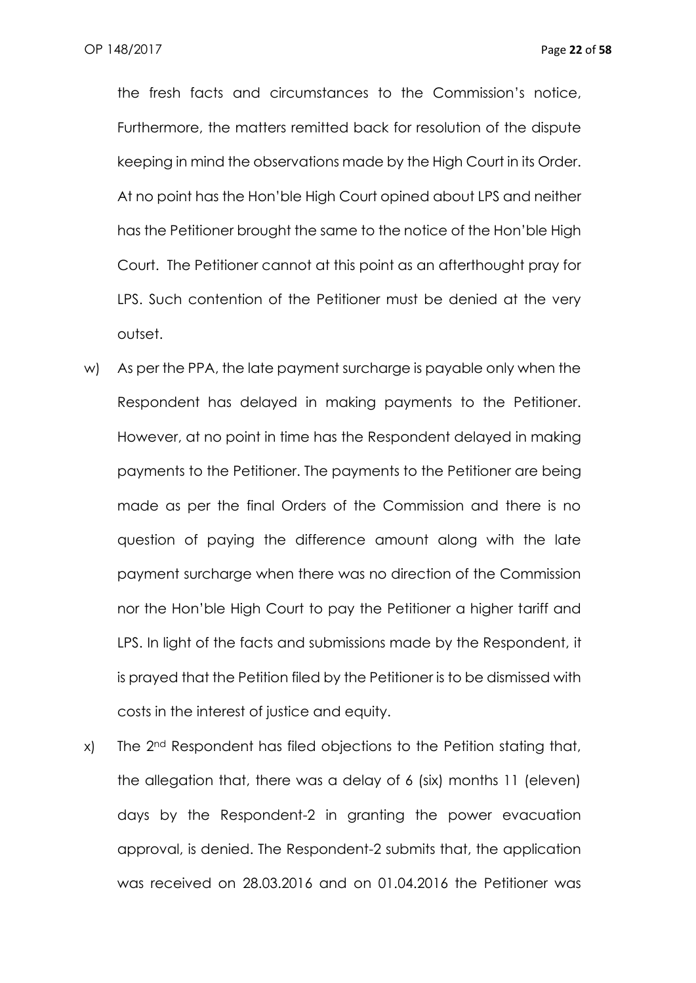the fresh facts and circumstances to the Commission's notice, Furthermore, the matters remitted back for resolution of the dispute keeping in mind the observations made by the High Court in its Order. At no point has the Hon'ble High Court opined about LPS and neither has the Petitioner brought the same to the notice of the Hon'ble High Court. The Petitioner cannot at this point as an afterthought pray for LPS. Such contention of the Petitioner must be denied at the very outset.

- w) As per the PPA, the late payment surcharge is payable only when the Respondent has delayed in making payments to the Petitioner. However, at no point in time has the Respondent delayed in making payments to the Petitioner. The payments to the Petitioner are being made as per the final Orders of the Commission and there is no question of paying the difference amount along with the late payment surcharge when there was no direction of the Commission nor the Hon'ble High Court to pay the Petitioner a higher tariff and LPS. In light of the facts and submissions made by the Respondent, it is prayed that the Petition filed by the Petitioner is to be dismissed with costs in the interest of justice and equity.
- x) The 2nd Respondent has filed objections to the Petition stating that, the allegation that, there was a delay of 6 (six) months 11 (eleven) days by the Respondent-2 in granting the power evacuation approval, is denied. The Respondent-2 submits that, the application was received on 28.03.2016 and on 01.04.2016 the Petitioner was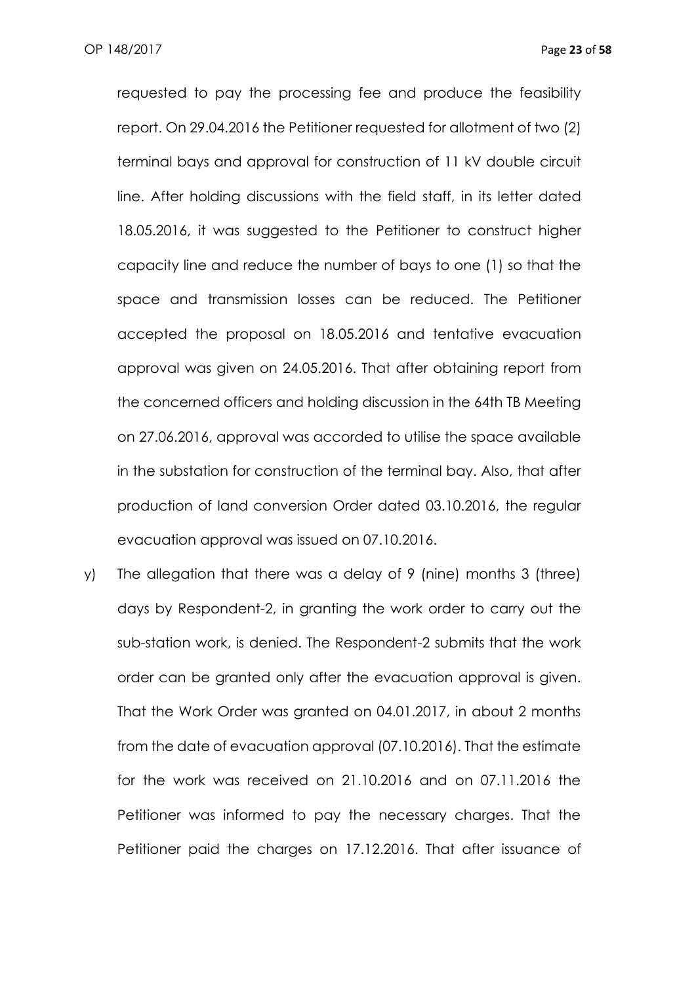requested to pay the processing fee and produce the feasibility report. On 29.04.2016 the Petitioner requested for allotment of two (2) terminal bays and approval for construction of 11 kV double circuit line. After holding discussions with the field staff, in its letter dated 18.05.2016, it was suggested to the Petitioner to construct higher capacity line and reduce the number of bays to one (1) so that the space and transmission losses can be reduced. The Petitioner accepted the proposal on 18.05.2016 and tentative evacuation approval was given on 24.05.2016. That after obtaining report from the concerned officers and holding discussion in the 64th TB Meeting on 27.06.2016, approval was accorded to utilise the space available in the substation for construction of the terminal bay. Also, that after production of land conversion Order dated 03.10.2016, the regular evacuation approval was issued on 07.10.2016.

y) The allegation that there was a delay of 9 (nine) months 3 (three) days by Respondent-2, in granting the work order to carry out the sub-station work, is denied. The Respondent-2 submits that the work order can be granted only after the evacuation approval is given. That the Work Order was granted on 04.01.2017, in about 2 months from the date of evacuation approval (07.10.2016). That the estimate for the work was received on 21.10.2016 and on 07.11.2016 the Petitioner was informed to pay the necessary charges. That the Petitioner paid the charges on 17.12.2016. That after issuance of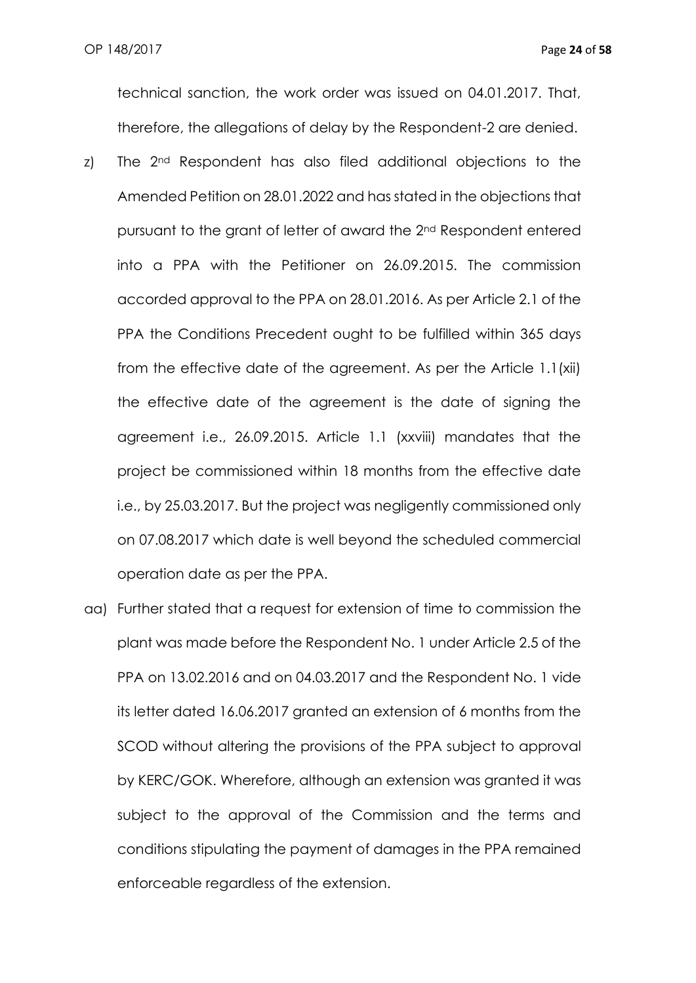technical sanction, the work order was issued on 04.01.2017. That, therefore, the allegations of delay by the Respondent-2 are denied.

- z) The 2<sup>nd</sup> Respondent has also filed additional objections to the Amended Petition on 28.01.2022 and has stated in the objections that pursuant to the grant of letter of award the 2nd Respondent entered into a PPA with the Petitioner on 26.09.2015. The commission accorded approval to the PPA on 28.01.2016. As per Article 2.1 of the PPA the Conditions Precedent ought to be fulfilled within 365 days from the effective date of the agreement. As per the Article 1.1(xii) the effective date of the agreement is the date of signing the agreement i.e., 26.09.2015. Article 1.1 (xxviii) mandates that the project be commissioned within 18 months from the effective date i.e., by 25.03.2017. But the project was negligently commissioned only on 07.08.2017 which date is well beyond the scheduled commercial operation date as per the PPA.
- aa) Further stated that a request for extension of time to commission the plant was made before the Respondent No. 1 under Article 2.5 of the PPA on 13.02.2016 and on 04.03.2017 and the Respondent No. 1 vide its letter dated 16.06.2017 granted an extension of 6 months from the SCOD without altering the provisions of the PPA subject to approval by KERC/GOK. Wherefore, although an extension was granted it was subject to the approval of the Commission and the terms and conditions stipulating the payment of damages in the PPA remained enforceable regardless of the extension.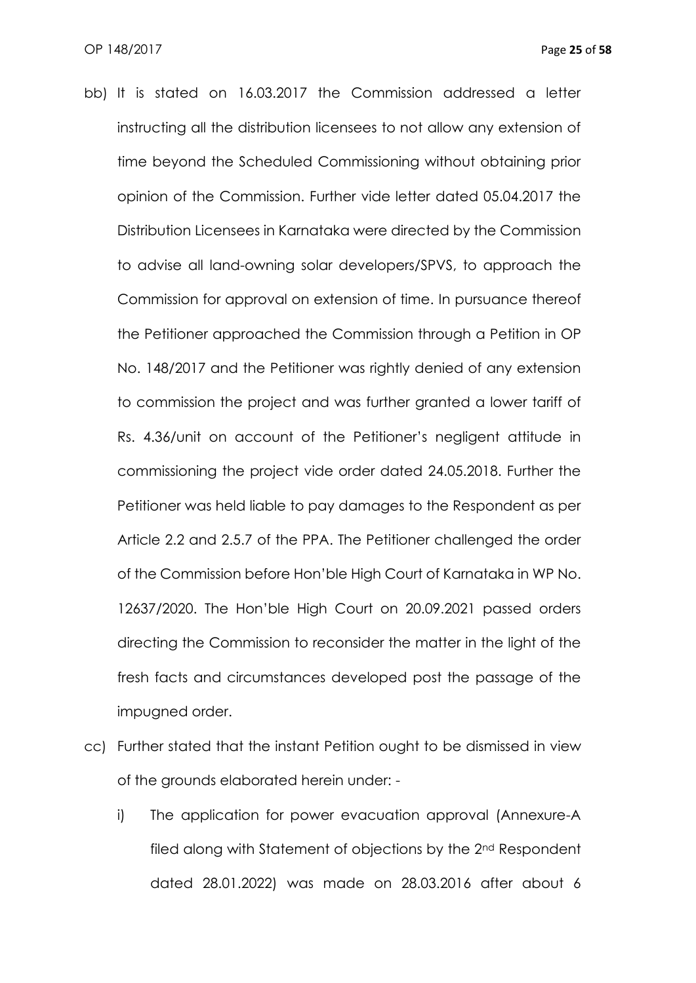- bb) It is stated on 16.03.2017 the Commission addressed a letter instructing all the distribution licensees to not allow any extension of time beyond the Scheduled Commissioning without obtaining prior opinion of the Commission. Further vide letter dated 05.04.2017 the Distribution Licensees in Karnataka were directed by the Commission to advise all land-owning solar developers/SPVS, to approach the Commission for approval on extension of time. In pursuance thereof the Petitioner approached the Commission through a Petition in OP No. 148/2017 and the Petitioner was rightly denied of any extension to commission the project and was further granted a lower tariff of Rs. 4.36/unit on account of the Petitioner's negligent attitude in commissioning the project vide order dated 24.05.2018. Further the Petitioner was held liable to pay damages to the Respondent as per Article 2.2 and 2.5.7 of the PPA. The Petitioner challenged the order of the Commission before Hon'ble High Court of Karnataka in WP No. 12637/2020. The Hon'ble High Court on 20.09.2021 passed orders directing the Commission to reconsider the matter in the light of the fresh facts and circumstances developed post the passage of the impugned order.
- cc) Further stated that the instant Petition ought to be dismissed in view of the grounds elaborated herein under:
	- i) The application for power evacuation approval (Annexure-A filed along with Statement of objections by the 2nd Respondent dated 28.01.2022) was made on 28.03.2016 after about 6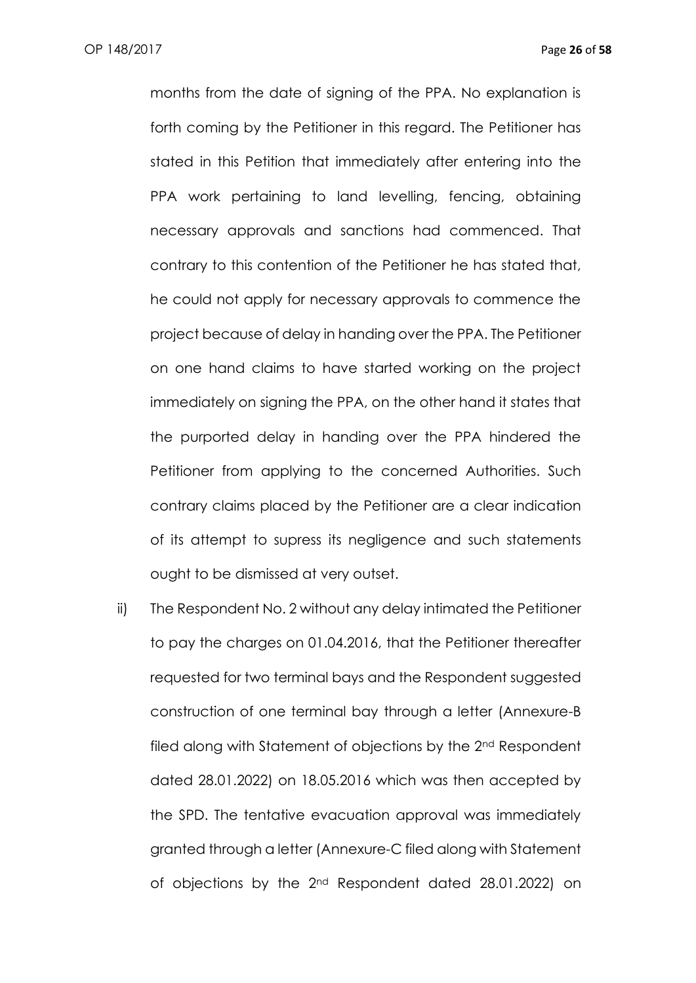months from the date of signing of the PPA. No explanation is forth coming by the Petitioner in this regard. The Petitioner has stated in this Petition that immediately after entering into the PPA work pertaining to land levelling, fencing, obtaining necessary approvals and sanctions had commenced. That contrary to this contention of the Petitioner he has stated that, he could not apply for necessary approvals to commence the project because of delay in handing over the PPA. The Petitioner on one hand claims to have started working on the project immediately on signing the PPA, on the other hand it states that the purported delay in handing over the PPA hindered the Petitioner from applying to the concerned Authorities. Such contrary claims placed by the Petitioner are a clear indication of its attempt to supress its negligence and such statements ought to be dismissed at very outset.

ii) The Respondent No. 2 without any delay intimated the Petitioner to pay the charges on 01.04.2016, that the Petitioner thereafter requested for two terminal bays and the Respondent suggested construction of one terminal bay through a letter (Annexure-B filed along with Statement of objections by the 2<sup>nd</sup> Respondent dated 28.01.2022) on 18.05.2016 which was then accepted by the SPD. The tentative evacuation approval was immediately granted through a letter (Annexure-C filed along with Statement of objections by the 2nd Respondent dated 28.01.2022) on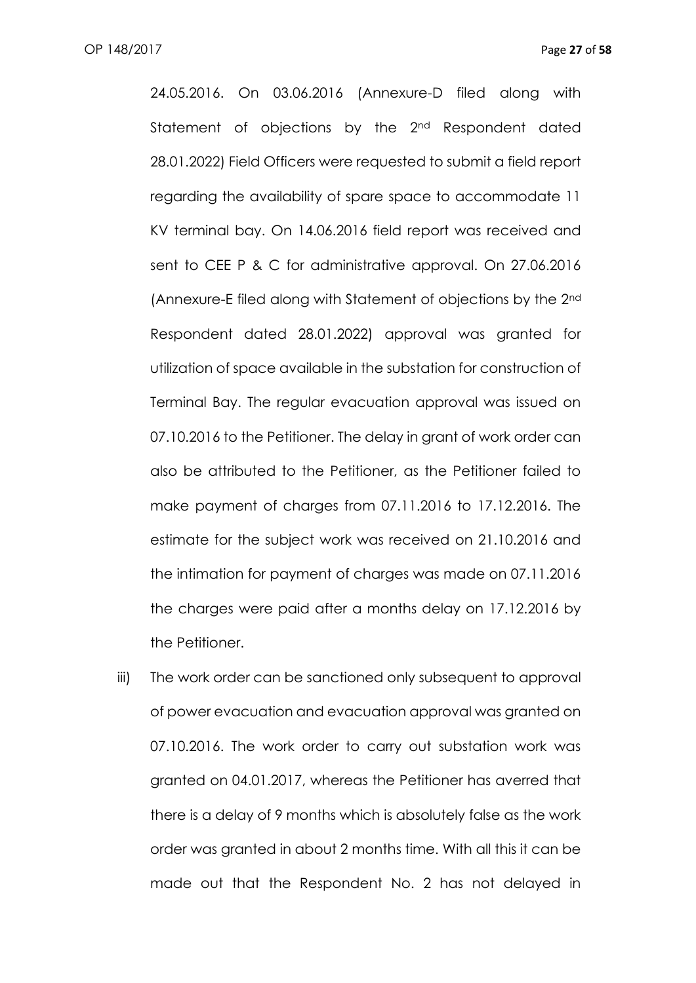24.05.2016. On 03.06.2016 (Annexure-D filed along with Statement of objections by the 2<sup>nd</sup> Respondent dated 28.01.2022) Field Officers were requested to submit a field report regarding the availability of spare space to accommodate 11 KV terminal bay. On 14.06.2016 field report was received and sent to CEE P & C for administrative approval. On 27.06.2016 (Annexure-E filed along with Statement of objections by the 2nd Respondent dated 28.01.2022) approval was granted for utilization of space available in the substation for construction of Terminal Bay. The regular evacuation approval was issued on 07.10.2016 to the Petitioner. The delay in grant of work order can also be attributed to the Petitioner, as the Petitioner failed to make payment of charges from 07.11.2016 to 17.12.2016. The estimate for the subject work was received on 21.10.2016 and the intimation for payment of charges was made on 07.11.2016 the charges were paid after a months delay on 17.12.2016 by the Petitioner.

iii) The work order can be sanctioned only subsequent to approval of power evacuation and evacuation approval was granted on 07.10.2016. The work order to carry out substation work was granted on 04.01.2017, whereas the Petitioner has averred that there is a delay of 9 months which is absolutely false as the work order was granted in about 2 months time. With all this it can be made out that the Respondent No. 2 has not delayed in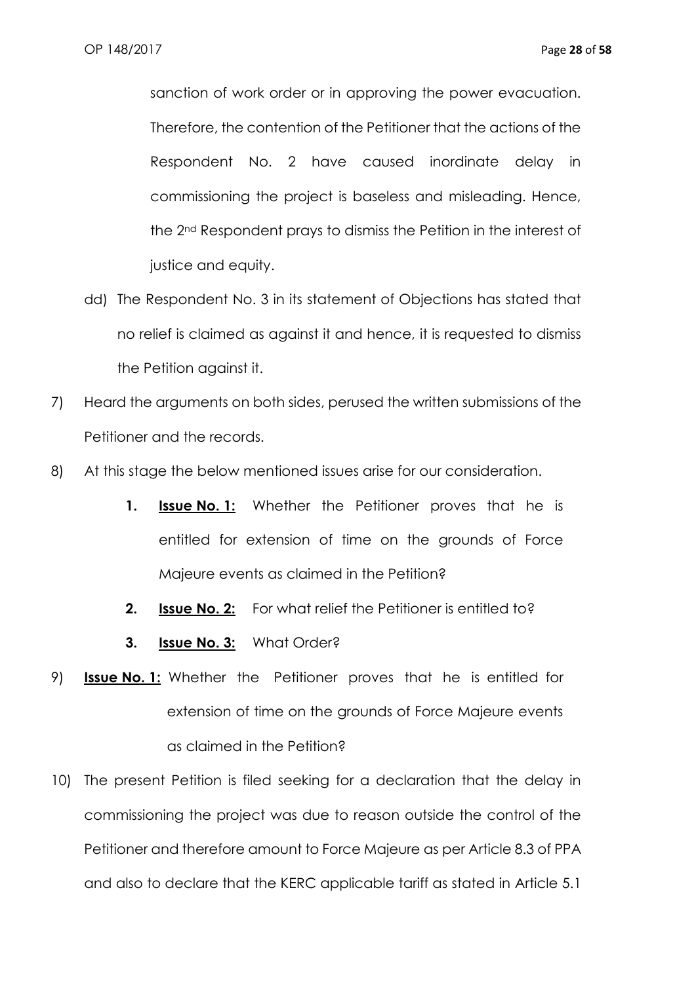sanction of work order or in approving the power evacuation. Therefore, the contention of the Petitioner that the actions of the Respondent No. 2 have caused inordinate delay in commissioning the project is baseless and misleading. Hence, the 2nd Respondent prays to dismiss the Petition in the interest of justice and equity.

- dd) The Respondent No. 3 in its statement of Objections has stated that no relief is claimed as against it and hence, it is requested to dismiss the Petition against it.
- 7) Heard the arguments on both sides, perused the written submissions of the Petitioner and the records.
- 8) At this stage the below mentioned issues arise for our consideration.
	- **1. Issue No. 1:** Whether the Petitioner proves that he is entitled for extension of time on the grounds of Force Majeure events as claimed in the Petition?
	- **2. Issue No. 2:** For what relief the Petitioner is entitled to?
	- **3. Issue No. 3:** What Order?
- 9) **Issue No. 1:** Whether the Petitioner proves that he is entitled for extension of time on the grounds of Force Majeure events as claimed in the Petition?
- 10) The present Petition is filed seeking for a declaration that the delay in commissioning the project was due to reason outside the control of the Petitioner and therefore amount to Force Majeure as per Article 8.3 of PPA and also to declare that the KERC applicable tariff as stated in Article 5.1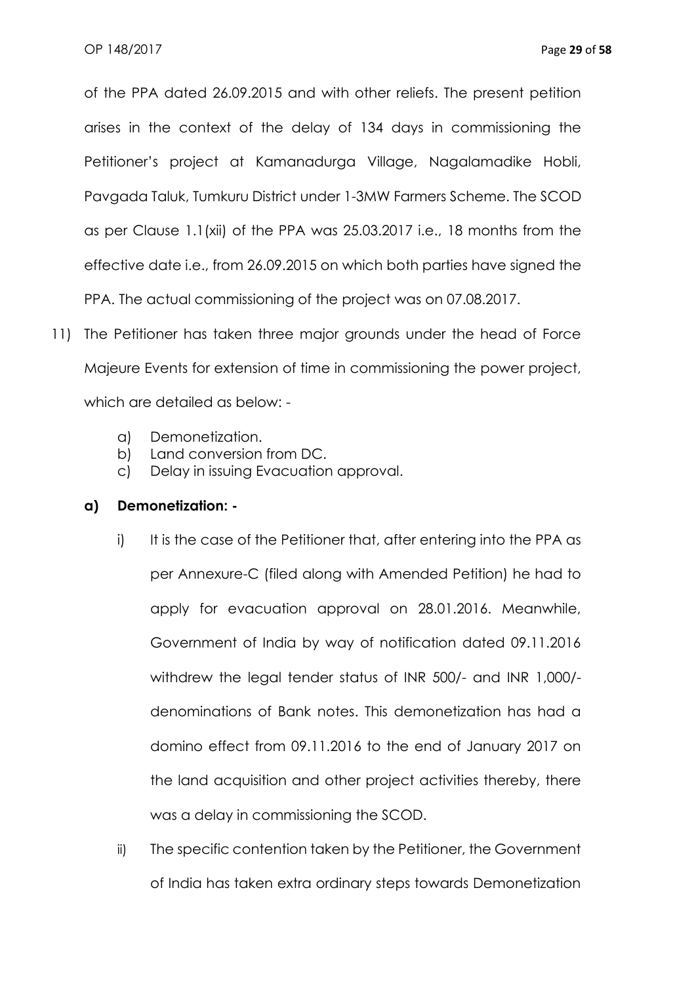of the PPA dated 26.09.2015 and with other reliefs. The present petition arises in the context of the delay of 134 days in commissioning the Petitioner's project at Kamanadurga Village, Nagalamadike Hobli, Pavgada Taluk, Tumkuru District under 1-3MW Farmers Scheme. The SCOD as per Clause 1.1(xii) of the PPA was 25.03.2017 i.e., 18 months from the effective date i.e., from 26.09.2015 on which both parties have signed the PPA. The actual commissioning of the project was on 07.08.2017.

- 11) The Petitioner has taken three major grounds under the head of Force Majeure Events for extension of time in commissioning the power project, which are detailed as below:
	- a) Demonetization.
	- b) Land conversion from DC.
	- c) Delay in issuing Evacuation approval.

## **a) Demonetization: -**

- i) It is the case of the Petitioner that, after entering into the PPA as per Annexure-C (filed along with Amended Petition) he had to apply for evacuation approval on 28.01.2016. Meanwhile, Government of India by way of notification dated 09.11.2016 withdrew the legal tender status of INR 500/- and INR 1,000/ denominations of Bank notes. This demonetization has had a domino effect from 09.11.2016 to the end of January 2017 on the land acquisition and other project activities thereby, there was a delay in commissioning the SCOD.
- ii) The specific contention taken by the Petitioner, the Government of India has taken extra ordinary steps towards Demonetization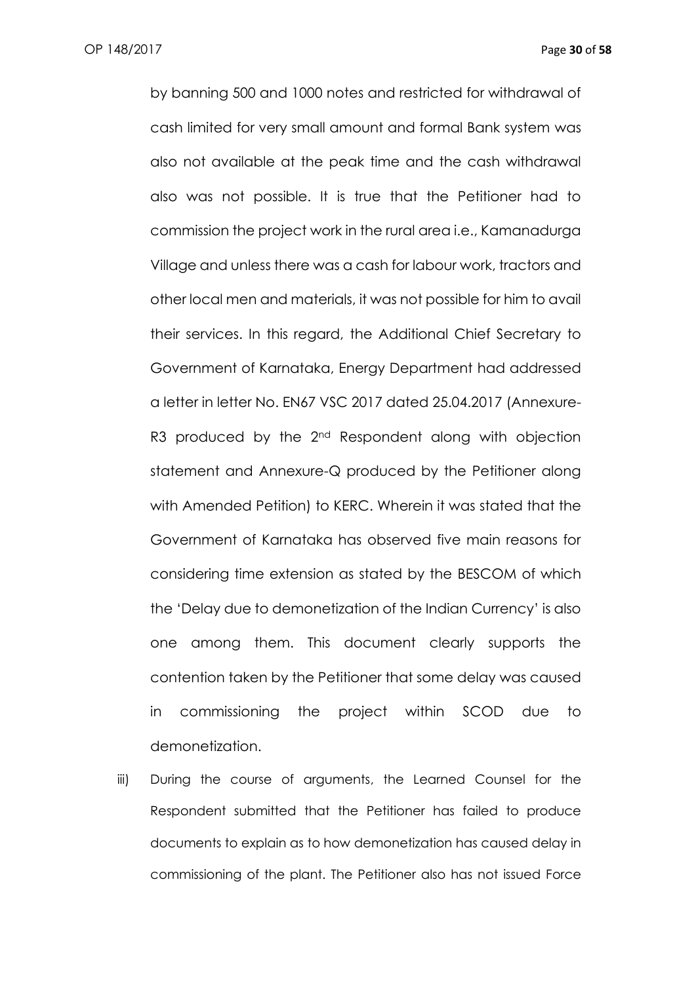by banning 500 and 1000 notes and restricted for withdrawal of cash limited for very small amount and formal Bank system was also not available at the peak time and the cash withdrawal also was not possible. It is true that the Petitioner had to commission the project work in the rural area i.e., Kamanadurga Village and unless there was a cash for labour work, tractors and other local men and materials, it was not possible for him to avail their services. In this regard, the Additional Chief Secretary to Government of Karnataka, Energy Department had addressed a letter in letter No. EN67 VSC 2017 dated 25.04.2017 (Annexure-R3 produced by the 2<sup>nd</sup> Respondent along with objection statement and Annexure-Q produced by the Petitioner along with Amended Petition) to KERC. Wherein it was stated that the Government of Karnataka has observed five main reasons for considering time extension as stated by the BESCOM of which the 'Delay due to demonetization of the Indian Currency' is also one among them. This document clearly supports the contention taken by the Petitioner that some delay was caused in commissioning the project within SCOD due to demonetization.

iii) During the course of arguments, the Learned Counsel for the Respondent submitted that the Petitioner has failed to produce documents to explain as to how demonetization has caused delay in commissioning of the plant. The Petitioner also has not issued Force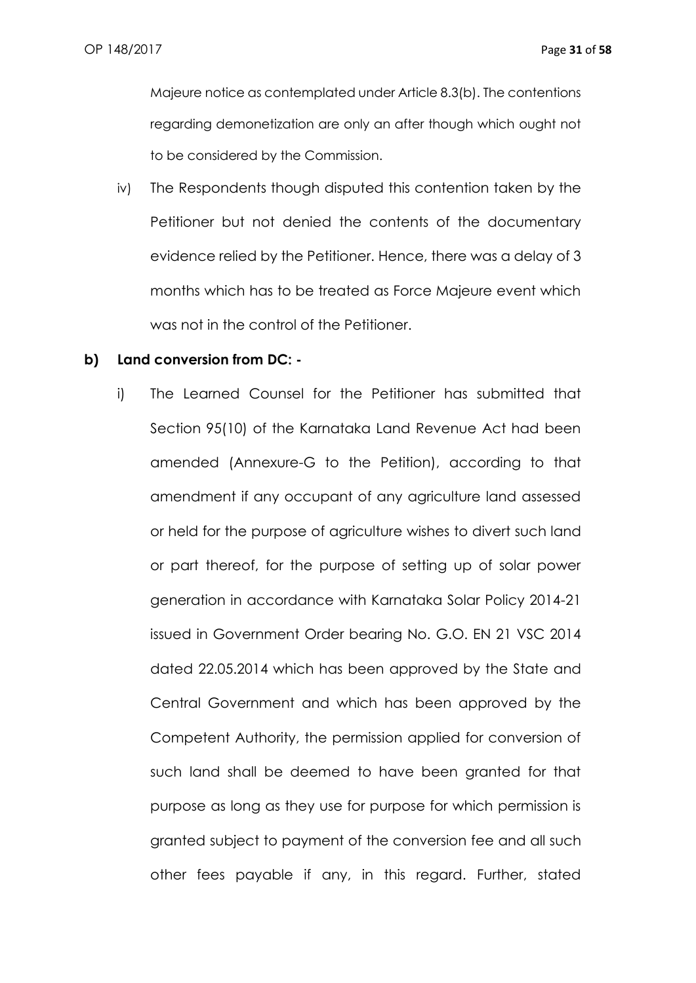Majeure notice as contemplated under Article 8.3(b). The contentions regarding demonetization are only an after though which ought not to be considered by the Commission.

iv) The Respondents though disputed this contention taken by the Petitioner but not denied the contents of the documentary evidence relied by the Petitioner. Hence, there was a delay of 3 months which has to be treated as Force Majeure event which was not in the control of the Petitioner.

#### **b) Land conversion from DC: -**

i) The Learned Counsel for the Petitioner has submitted that Section 95(10) of the Karnataka Land Revenue Act had been amended (Annexure-G to the Petition), according to that amendment if any occupant of any agriculture land assessed or held for the purpose of agriculture wishes to divert such land or part thereof, for the purpose of setting up of solar power generation in accordance with Karnataka Solar Policy 2014-21 issued in Government Order bearing No. G.O. EN 21 VSC 2014 dated 22.05.2014 which has been approved by the State and Central Government and which has been approved by the Competent Authority, the permission applied for conversion of such land shall be deemed to have been granted for that purpose as long as they use for purpose for which permission is granted subject to payment of the conversion fee and all such other fees payable if any, in this regard. Further, stated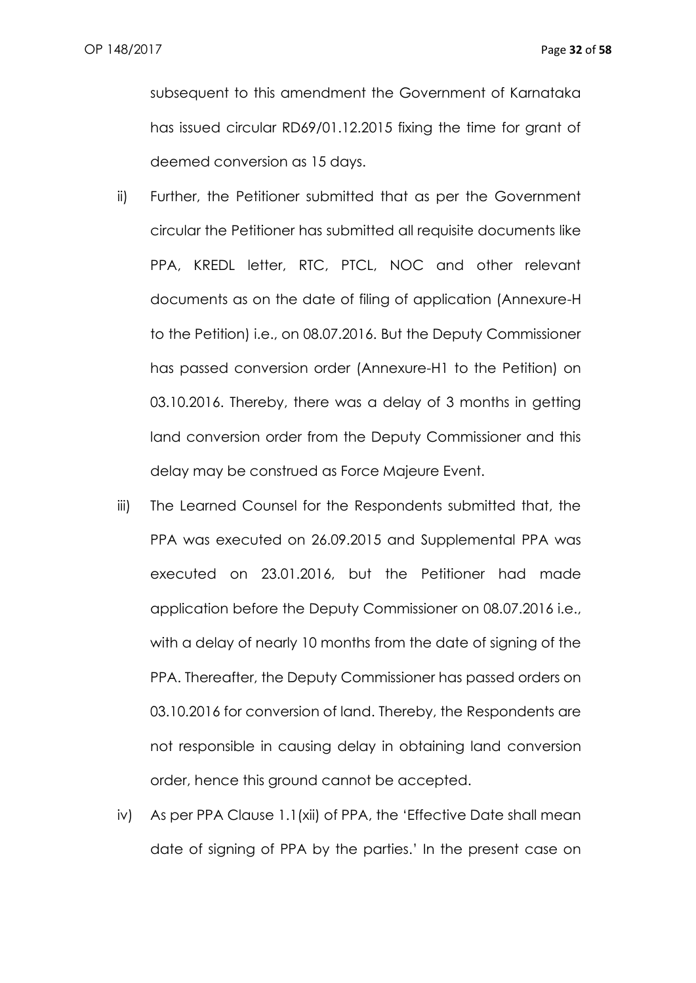subsequent to this amendment the Government of Karnataka has issued circular RD69/01.12.2015 fixing the time for grant of deemed conversion as 15 days.

- ii) Further, the Petitioner submitted that as per the Government circular the Petitioner has submitted all requisite documents like PPA, KREDL letter, RTC, PTCL, NOC and other relevant documents as on the date of filing of application (Annexure-H to the Petition) i.e., on 08.07.2016. But the Deputy Commissioner has passed conversion order (Annexure-H1 to the Petition) on 03.10.2016. Thereby, there was a delay of 3 months in getting land conversion order from the Deputy Commissioner and this delay may be construed as Force Majeure Event.
- iii) The Learned Counsel for the Respondents submitted that, the PPA was executed on 26.09.2015 and Supplemental PPA was executed on 23.01.2016, but the Petitioner had made application before the Deputy Commissioner on 08.07.2016 i.e., with a delay of nearly 10 months from the date of signing of the PPA. Thereafter, the Deputy Commissioner has passed orders on 03.10.2016 for conversion of land. Thereby, the Respondents are not responsible in causing delay in obtaining land conversion order, hence this ground cannot be accepted.
- iv) As per PPA Clause 1.1(xii) of PPA, the 'Effective Date shall mean date of signing of PPA by the parties.' In the present case on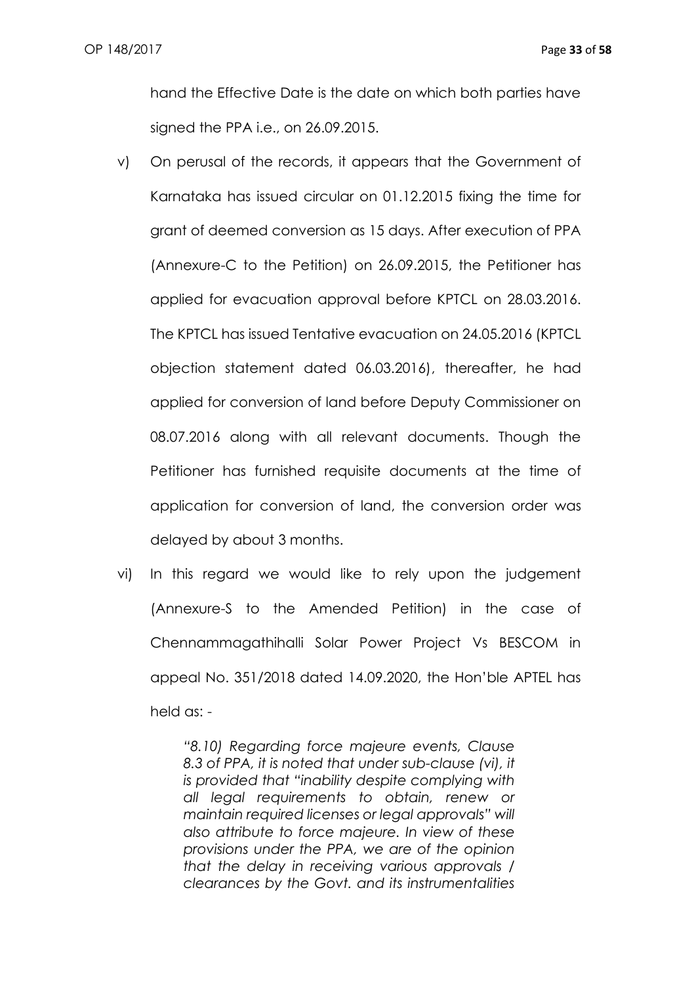hand the Effective Date is the date on which both parties have signed the PPA i.e., on 26.09.2015.

- v) On perusal of the records, it appears that the Government of Karnataka has issued circular on 01.12.2015 fixing the time for grant of deemed conversion as 15 days. After execution of PPA (Annexure-C to the Petition) on 26.09.2015, the Petitioner has applied for evacuation approval before KPTCL on 28.03.2016. The KPTCL has issued Tentative evacuation on 24.05.2016 (KPTCL objection statement dated 06.03.2016), thereafter, he had applied for conversion of land before Deputy Commissioner on 08.07.2016 along with all relevant documents. Though the Petitioner has furnished requisite documents at the time of application for conversion of land, the conversion order was delayed by about 3 months.
- vi) In this regard we would like to rely upon the judgement (Annexure-S to the Amended Petition) in the case of Chennammagathihalli Solar Power Project Vs BESCOM in appeal No. 351/2018 dated 14.09.2020, the Hon'ble APTEL has held as: -

*"8.10) Regarding force majeure events, Clause 8.3 of PPA, it is noted that under sub-clause (vi), it is provided that "inability despite complying with all legal requirements to obtain, renew or maintain required licenses or legal approvals" will also attribute to force majeure. In view of these provisions under the PPA, we are of the opinion that the delay in receiving various approvals / clearances by the Govt. and its instrumentalities*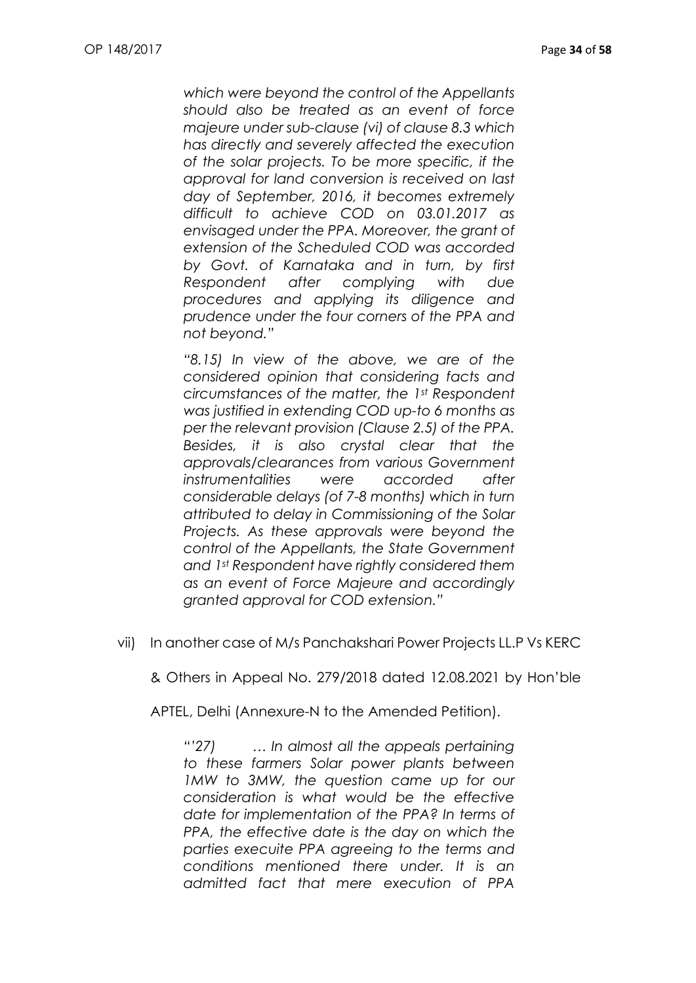*which were beyond the control of the Appellants should also be treated as an event of force majeure under sub-clause (vi) of clause 8.3 which has directly and severely affected the execution of the solar projects. To be more specific, if the approval for land conversion is received on last day of September, 2016, it becomes extremely difficult to achieve COD on 03.01.2017 as envisaged under the PPA. Moreover, the grant of extension of the Scheduled COD was accorded by Govt. of Karnataka and in turn, by first Respondent after complying with due procedures and applying its diligence and prudence under the four corners of the PPA and not beyond."*

*"8.15) In view of the above, we are of the considered opinion that considering facts and circumstances of the matter, the 1st Respondent was justified in extending COD up-to 6 months as per the relevant provision (Clause 2.5) of the PPA. Besides, it is also crystal clear that the approvals/clearances from various Government instrumentalities were accorded after considerable delays (of 7-8 months) which in turn attributed to delay in Commissioning of the Solar Projects. As these approvals were beyond the control of the Appellants, the State Government and 1st Respondent have rightly considered them as an event of Force Majeure and accordingly granted approval for COD extension."*

vii) In another case of M/s Panchakshari Power Projects LL.P Vs KERC

& Others in Appeal No. 279/2018 dated 12.08.2021 by Hon'ble

APTEL, Delhi (Annexure-N to the Amended Petition).

*"'27) … In almost all the appeals pertaining to these farmers Solar power plants between 1MW to 3MW, the question came up for our consideration is what would be the effective date for implementation of the PPA? In terms of PPA, the effective date is the day on which the parties execuite PPA agreeing to the terms and conditions mentioned there under. It is an admitted fact that mere execution of PPA*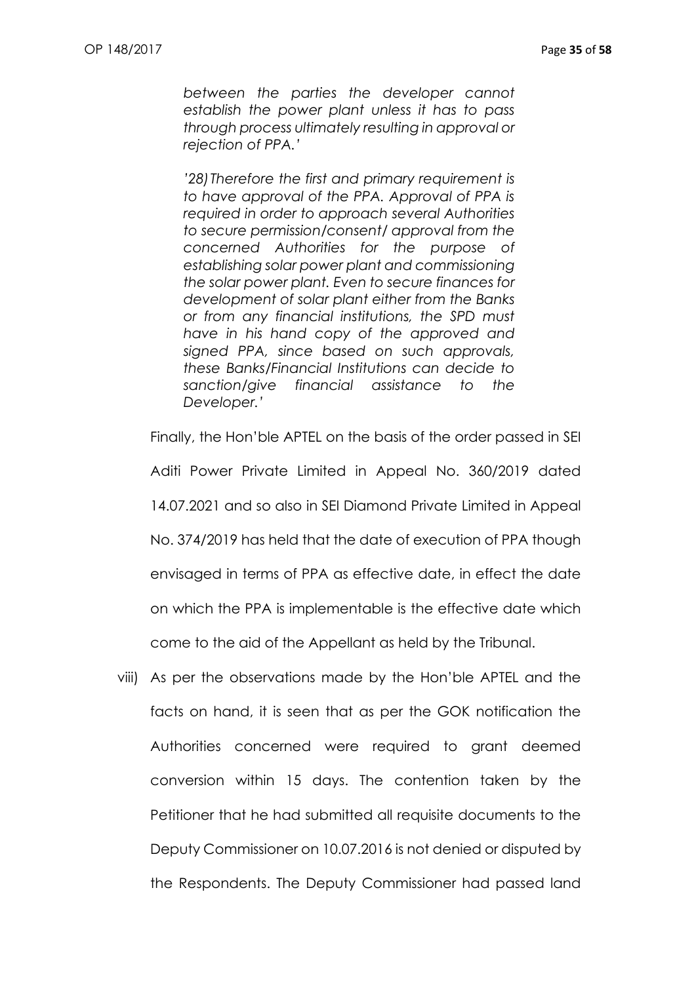*between the parties the developer cannot establish the power plant unless it has to pass through process ultimately resulting in approval or rejection of PPA.'*

*'28)Therefore the first and primary requirement is to have approval of the PPA. Approval of PPA is required in order to approach several Authorities to secure permission/consent/ approval from the concerned Authorities for the purpose of establishing solar power plant and commissioning the solar power plant. Even to secure finances for development of solar plant either from the Banks or from any financial institutions, the SPD must have in his hand copy of the approved and signed PPA, since based on such approvals, these Banks/Financial Institutions can decide to sanction/give financial assistance to the Developer.'*

Finally, the Hon'ble APTEL on the basis of the order passed in SEI

Aditi Power Private Limited in Appeal No. 360/2019 dated 14.07.2021 and so also in SEI Diamond Private Limited in Appeal

No. 374/2019 has held that the date of execution of PPA though

envisaged in terms of PPA as effective date, in effect the date

on which the PPA is implementable is the effective date which

come to the aid of the Appellant as held by the Tribunal.

viii) As per the observations made by the Hon'ble APTEL and the facts on hand, it is seen that as per the GOK notification the Authorities concerned were required to grant deemed conversion within 15 days. The contention taken by the Petitioner that he had submitted all requisite documents to the Deputy Commissioner on 10.07.2016 is not denied or disputed by the Respondents. The Deputy Commissioner had passed land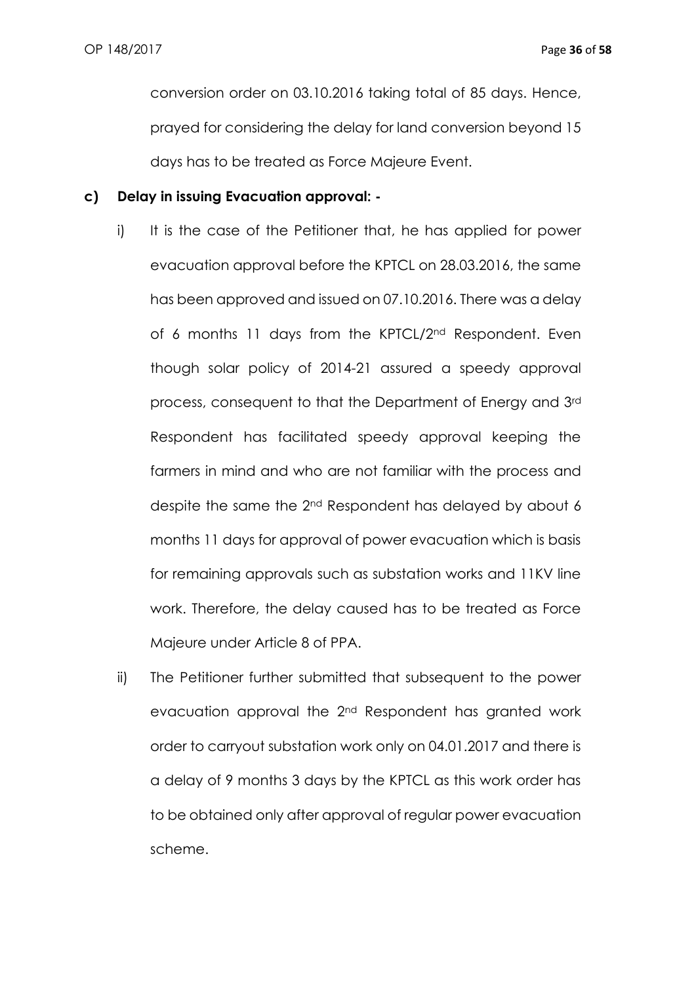conversion order on 03.10.2016 taking total of 85 days. Hence, prayed for considering the delay for land conversion beyond 15 days has to be treated as Force Majeure Event.

### **c) Delay in issuing Evacuation approval: -**

- i) It is the case of the Petitioner that, he has applied for power evacuation approval before the KPTCL on 28.03.2016, the same has been approved and issued on 07.10.2016. There was a delay of 6 months 11 days from the KPTCL/2<sup>nd</sup> Respondent. Even though solar policy of 2014-21 assured a speedy approval process, consequent to that the Department of Energy and 3rd Respondent has facilitated speedy approval keeping the farmers in mind and who are not familiar with the process and despite the same the 2<sup>nd</sup> Respondent has delayed by about 6 months 11 days for approval of power evacuation which is basis for remaining approvals such as substation works and 11KV line work. Therefore, the delay caused has to be treated as Force Majeure under Article 8 of PPA.
- ii) The Petitioner further submitted that subsequent to the power evacuation approval the 2nd Respondent has granted work order to carryout substation work only on 04.01.2017 and there is a delay of 9 months 3 days by the KPTCL as this work order has to be obtained only after approval of regular power evacuation scheme.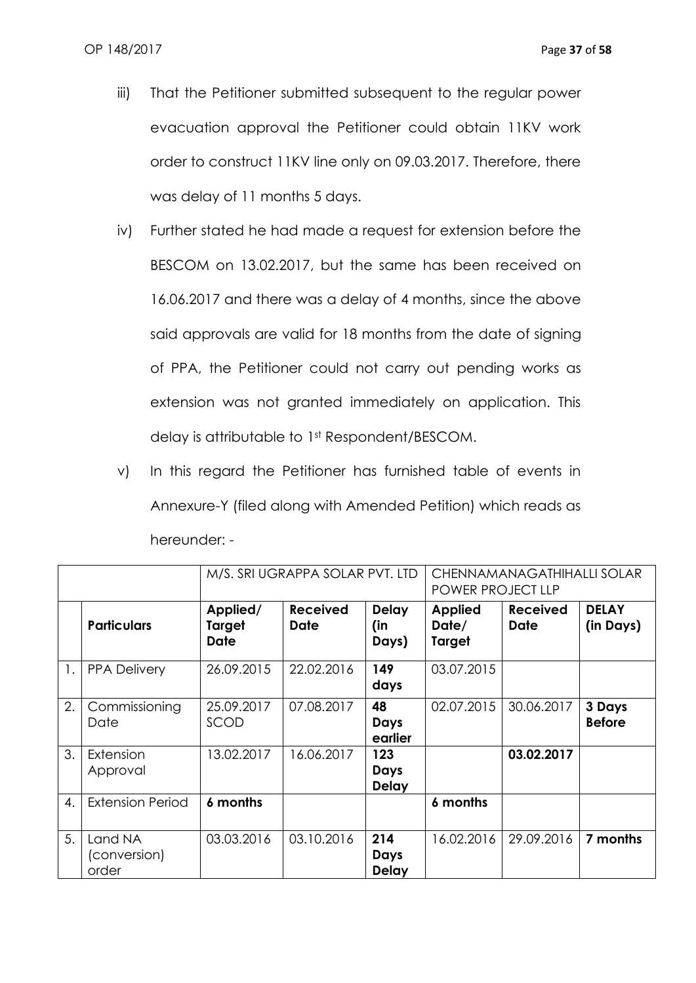- iii) That the Petitioner submitted subsequent to the regular power evacuation approval the Petitioner could obtain 11KV work order to construct 11KV line only on 09.03.2017. Therefore, there was delay of 11 months 5 days.
- iv) Further stated he had made a request for extension before the BESCOM on 13.02.2017, but the same has been received on 16.06.2017 and there was a delay of 4 months, since the above said approvals are valid for 18 months from the date of signing of PPA, the Petitioner could not carry out pending works as extension was not granted immediately on application. This delay is attributable to 1st Respondent/BESCOM.
- v) In this regard the Petitioner has furnished table of events in Annexure-Y (filed along with Amended Petition) which reads as hereunder: -

|    |                                  | M/S. SRI UGRAPPA SOLAR PVT. LTD<br>CHENNAMANAGATHIHALLI SOLAR<br>POWER PROJECT LLP |                                |                              |                                   |                                |                           |
|----|----------------------------------|------------------------------------------------------------------------------------|--------------------------------|------------------------------|-----------------------------------|--------------------------------|---------------------------|
|    | <b>Particulars</b>               | Applied/<br>Target<br><b>Date</b>                                                  | <b>Received</b><br><b>Date</b> | <b>Delay</b><br>(in<br>Days) | <b>Applied</b><br>Date/<br>Target | <b>Received</b><br><b>Date</b> | <b>DELAY</b><br>(in Days) |
| 1. | <b>PPA Delivery</b>              | 26.09.2015                                                                         | 22.02.2016                     | 149<br>days                  | 03.07.2015                        |                                |                           |
| 2. | Commissioning<br>Date            | 25.09.2017<br>SCOD                                                                 | 07.08.2017                     | 48<br>Days<br>earlier        | 02.07.2015                        | 30.06.2017                     | 3 Days<br><b>Before</b>   |
| 3. | Extension<br>Approval            | 13.02.2017                                                                         | 16.06.2017                     | 123<br>Days<br><b>Delay</b>  |                                   | 03.02.2017                     |                           |
| 4. | <b>Extension Period</b>          | 6 months                                                                           |                                |                              | 6 months                          |                                |                           |
| 5. | Land NA<br>(conversion)<br>order | 03.03.2016                                                                         | 03.10.2016                     | 214<br>Days<br><b>Delay</b>  | 16.02.2016                        | 29.09.2016                     | 7 months                  |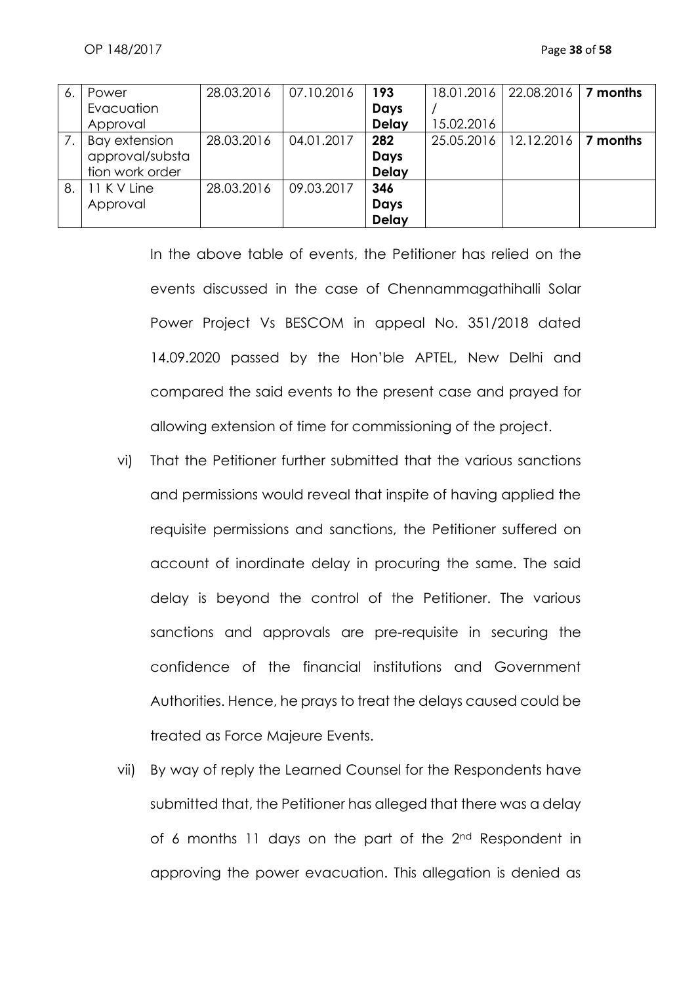| 6. | Power           | 28.03.2016 | 07.10.2016 | 193          | 18.01.2016 | 22.08.2016 | 7 months |
|----|-----------------|------------|------------|--------------|------------|------------|----------|
|    | Evacuation      |            |            | Days         |            |            |          |
|    | Approval        |            |            | <b>Delay</b> | 15.02.2016 |            |          |
| 7. | Bay extension   | 28.03.2016 | 04.01.2017 | 282          | 25.05.2016 | 12.12.2016 | 7 months |
|    | approval/substa |            |            | Days         |            |            |          |
|    | tion work order |            |            | <b>Delay</b> |            |            |          |
| 8. | 11 K V Line     | 28.03.2016 | 09.03.2017 | 346          |            |            |          |
|    | Approval        |            |            | Days         |            |            |          |
|    |                 |            |            | <b>Delay</b> |            |            |          |

In the above table of events, the Petitioner has relied on the events discussed in the case of Chennammagathihalli Solar Power Project Vs BESCOM in appeal No. 351/2018 dated 14.09.2020 passed by the Hon'ble APTEL, New Delhi and compared the said events to the present case and prayed for allowing extension of time for commissioning of the project.

- vi) That the Petitioner further submitted that the various sanctions and permissions would reveal that inspite of having applied the requisite permissions and sanctions, the Petitioner suffered on account of inordinate delay in procuring the same. The said delay is beyond the control of the Petitioner. The various sanctions and approvals are pre-requisite in securing the confidence of the financial institutions and Government Authorities. Hence, he prays to treat the delays caused could be treated as Force Majeure Events.
- vii) By way of reply the Learned Counsel for the Respondents have submitted that, the Petitioner has alleged that there was a delay of 6 months 11 days on the part of the 2nd Respondent in approving the power evacuation. This allegation is denied as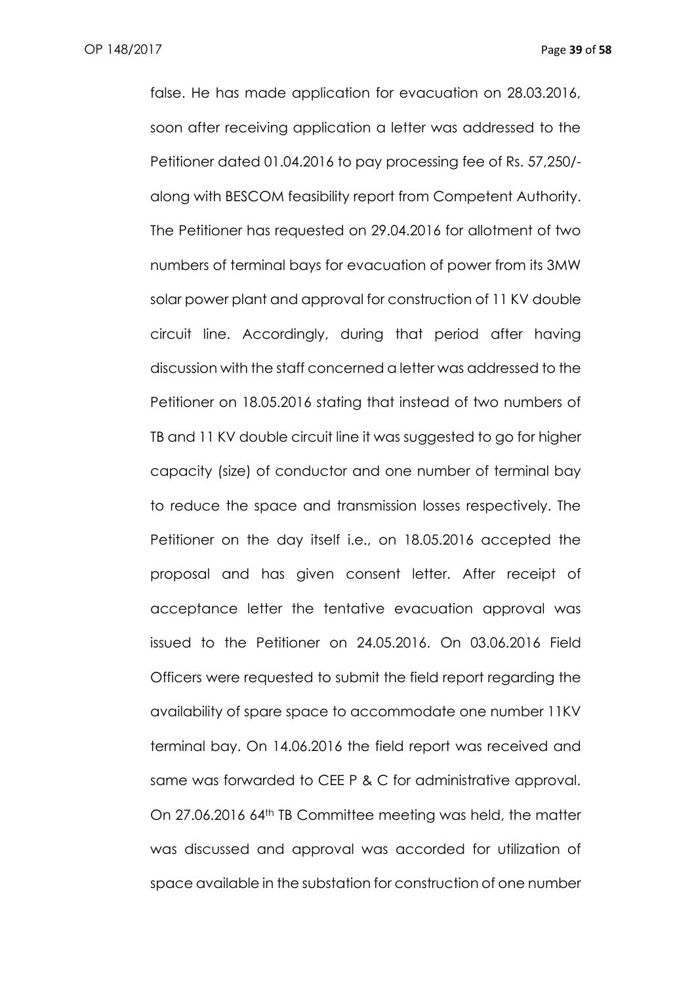false. He has made application for evacuation on 28.03.2016, soon after receiving application a letter was addressed to the Petitioner dated 01.04.2016 to pay processing fee of Rs. 57,250/ along with BESCOM feasibility report from Competent Authority. The Petitioner has requested on 29.04.2016 for allotment of two numbers of terminal bays for evacuation of power from its 3MW solar power plant and approval for construction of 11 KV double circuit line. Accordingly, during that period after having discussion with the staff concerned a letter was addressed to the Petitioner on 18.05.2016 stating that instead of two numbers of TB and 11 KV double circuit line it was suggested to go for higher capacity (size) of conductor and one number of terminal bay to reduce the space and transmission losses respectively. The Petitioner on the day itself i.e., on 18.05.2016 accepted the proposal and has given consent letter. After receipt of acceptance letter the tentative evacuation approval was issued to the Petitioner on 24.05.2016. On 03.06.2016 Field Officers were requested to submit the field report regarding the availability of spare space to accommodate one number 11KV terminal bay. On 14.06.2016 the field report was received and same was forwarded to CEE P & C for administrative approval. On 27.06.2016 64th TB Committee meeting was held, the matter was discussed and approval was accorded for utilization of space available in the substation for construction of one number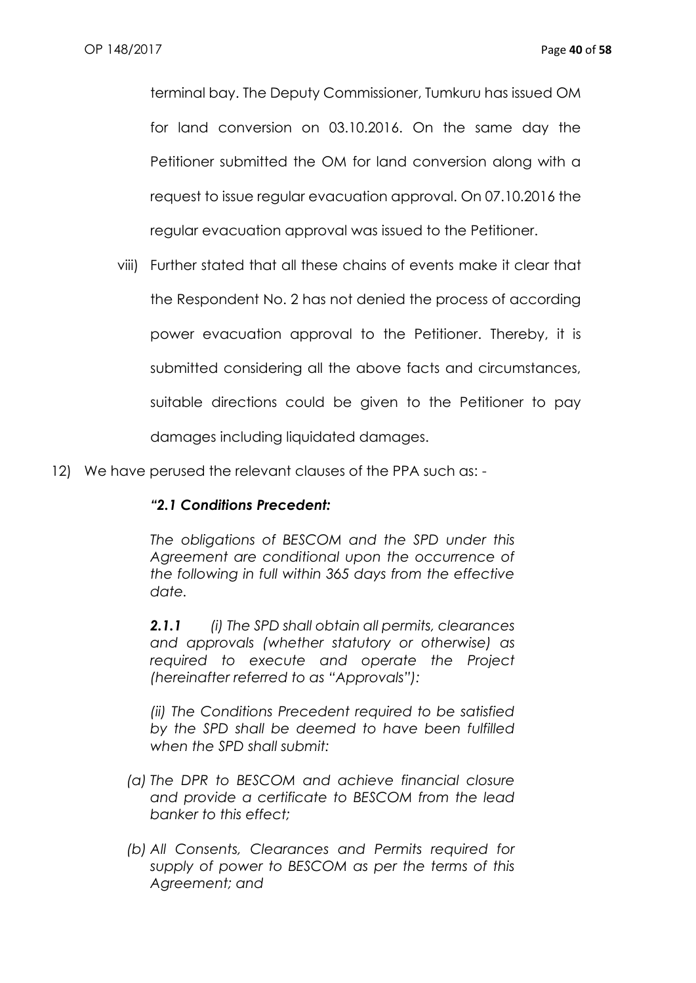terminal bay. The Deputy Commissioner, Tumkuru has issued OM for land conversion on 03.10.2016. On the same day the Petitioner submitted the OM for land conversion along with a request to issue regular evacuation approval. On 07.10.2016 the regular evacuation approval was issued to the Petitioner.

- viii) Further stated that all these chains of events make it clear that the Respondent No. 2 has not denied the process of according power evacuation approval to the Petitioner. Thereby, it is submitted considering all the above facts and circumstances, suitable directions could be given to the Petitioner to pay damages including liquidated damages.
- 12) We have perused the relevant clauses of the PPA such as: -

## *"2.1 Conditions Precedent:*

*The obligations of BESCOM and the SPD under this Agreement are conditional upon the occurrence of the following in full within 365 days from the effective date.*

*2.1.1 (i) The SPD shall obtain all permits, clearances and approvals (whether statutory or otherwise) as required to execute and operate the Project (hereinafter referred to as "Approvals"):*

*(ii) The Conditions Precedent required to be satisfied by the SPD shall be deemed to have been fulfilled when the SPD shall submit:*

- *(a) The DPR to BESCOM and achieve financial closure and provide a certificate to BESCOM from the lead banker to this effect;*
- *(b) All Consents, Clearances and Permits required for supply of power to BESCOM as per the terms of this Agreement; and*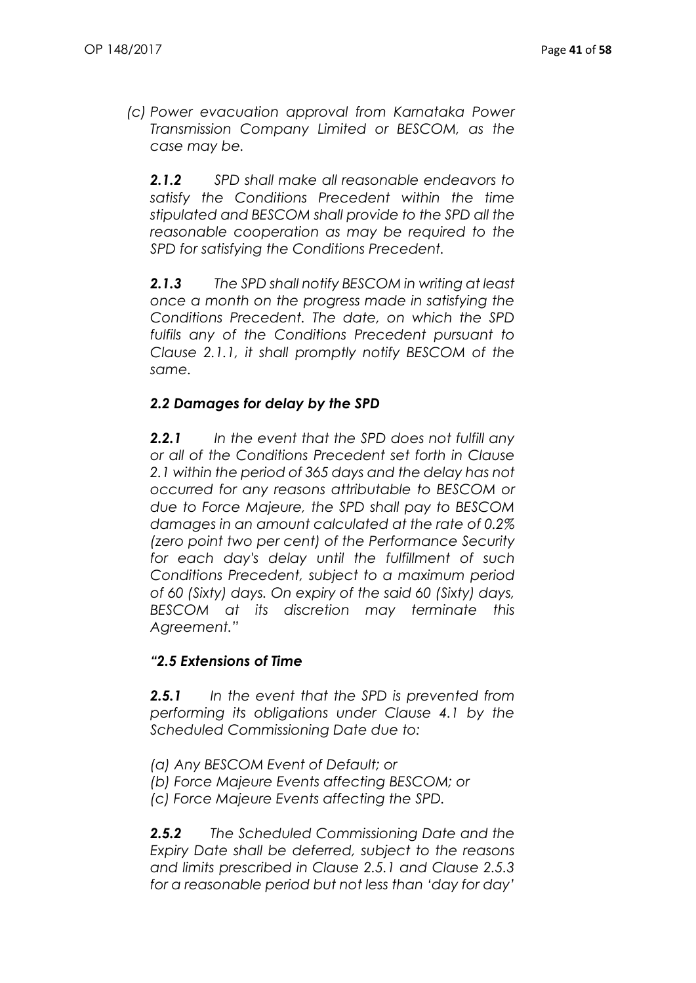*(c) Power evacuation approval from Karnataka Power Transmission Company Limited or BESCOM, as the case may be.*

*2.1.2 SPD shall make all reasonable endeavors to satisfy the Conditions Precedent within the time stipulated and BESCOM shall provide to the SPD all the reasonable cooperation as may be required to the SPD for satisfying the Conditions Precedent.*

*2.1.3 The SPD shall notify BESCOM in writing at least once a month on the progress made in satisfying the Conditions Precedent. The date, on which the SPD fulfils any of the Conditions Precedent pursuant to Clause 2.1.1, it shall promptly notify BESCOM of the same.*

## *2.2 Damages for delay by the SPD*

*2.2.1 In the event that the SPD does not fulfill any or all of the Conditions Precedent set forth in Clause 2.1 within the period of 365 days and the delay has not occurred for any reasons attributable to BESCOM or due to Force Majeure, the SPD shall pay to BESCOM damages in an amount calculated at the rate of 0.2% (zero point two per cent) of the Performance Security for each day's delay until the fulfillment of such Conditions Precedent, subject to a maximum period of 60 (Sixty) days. On expiry of the said 60 (Sixty) days, BESCOM at its discretion may terminate this Agreement."*

## *"2.5 Extensions of Time*

*2.5.1 In the event that the SPD is prevented from performing its obligations under Clause 4.1 by the Scheduled Commissioning Date due to:*

- *(a) Any BESCOM Event of Default; or*
- *(b) Force Majeure Events affecting BESCOM; or*
- *(c) Force Majeure Events affecting the SPD.*

*2.5.2 The Scheduled Commissioning Date and the Expiry Date shall be deferred, subject to the reasons and limits prescribed in Clause 2.5.1 and Clause 2.5.3 for a reasonable period but not less than 'day for day'*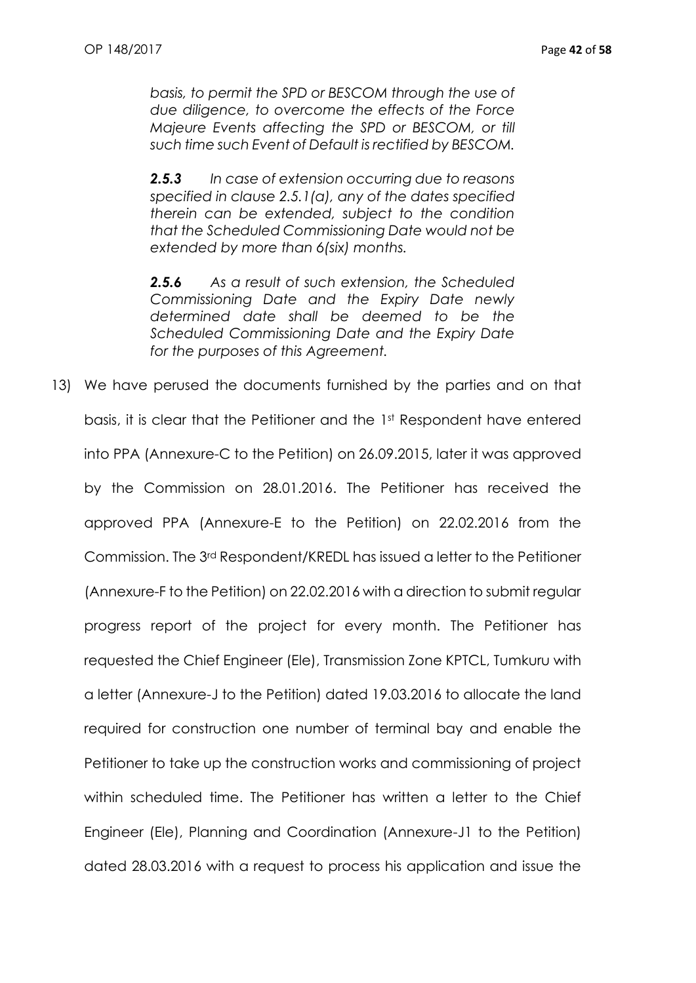*basis, to permit the SPD or BESCOM through the use of due diligence, to overcome the effects of the Force Majeure Events affecting the SPD or BESCOM, or till such time such Event of Default is rectified by BESCOM.*

*2.5.3 In case of extension occurring due to reasons specified in clause 2.5.1(a), any of the dates specified therein can be extended, subject to the condition that the Scheduled Commissioning Date would not be extended by more than 6(six) months.*

*2.5.6 As a result of such extension, the Scheduled Commissioning Date and the Expiry Date newly determined date shall be deemed to be the Scheduled Commissioning Date and the Expiry Date for the purposes of this Agreement.*

13) We have perused the documents furnished by the parties and on that basis, it is clear that the Petitioner and the 1st Respondent have entered into PPA (Annexure-C to the Petition) on 26.09.2015, later it was approved by the Commission on 28.01.2016. The Petitioner has received the approved PPA (Annexure-E to the Petition) on 22.02.2016 from the Commission. The 3rd Respondent/KREDL has issued a letter to the Petitioner (Annexure-F to the Petition) on 22.02.2016 with a direction to submit regular progress report of the project for every month. The Petitioner has requested the Chief Engineer (Ele), Transmission Zone KPTCL, Tumkuru with a letter (Annexure-J to the Petition) dated 19.03.2016 to allocate the land required for construction one number of terminal bay and enable the Petitioner to take up the construction works and commissioning of project within scheduled time. The Petitioner has written a letter to the Chief Engineer (Ele), Planning and Coordination (Annexure-J1 to the Petition) dated 28.03.2016 with a request to process his application and issue the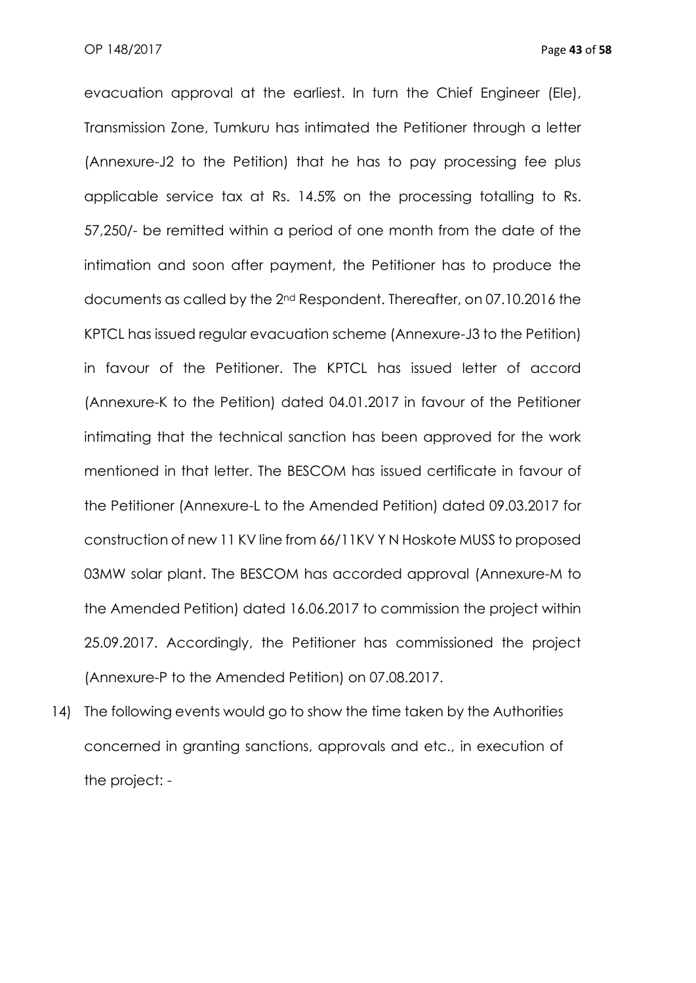evacuation approval at the earliest. In turn the Chief Engineer (Ele), Transmission Zone, Tumkuru has intimated the Petitioner through a letter (Annexure-J2 to the Petition) that he has to pay processing fee plus applicable service tax at Rs. 14.5% on the processing totalling to Rs. 57,250/- be remitted within a period of one month from the date of the intimation and soon after payment, the Petitioner has to produce the documents as called by the 2nd Respondent. Thereafter, on 07.10.2016 the KPTCL has issued regular evacuation scheme (Annexure-J3 to the Petition) in favour of the Petitioner. The KPTCL has issued letter of accord (Annexure-K to the Petition) dated 04.01.2017 in favour of the Petitioner intimating that the technical sanction has been approved for the work mentioned in that letter. The BESCOM has issued certificate in favour of the Petitioner (Annexure-L to the Amended Petition) dated 09.03.2017 for construction of new 11 KV line from 66/11KV Y N Hoskote MUSS to proposed 03MW solar plant. The BESCOM has accorded approval (Annexure-M to the Amended Petition) dated 16.06.2017 to commission the project within 25.09.2017. Accordingly, the Petitioner has commissioned the project (Annexure-P to the Amended Petition) on 07.08.2017.

14) The following events would go to show the time taken by the Authorities concerned in granting sanctions, approvals and etc., in execution of the project: -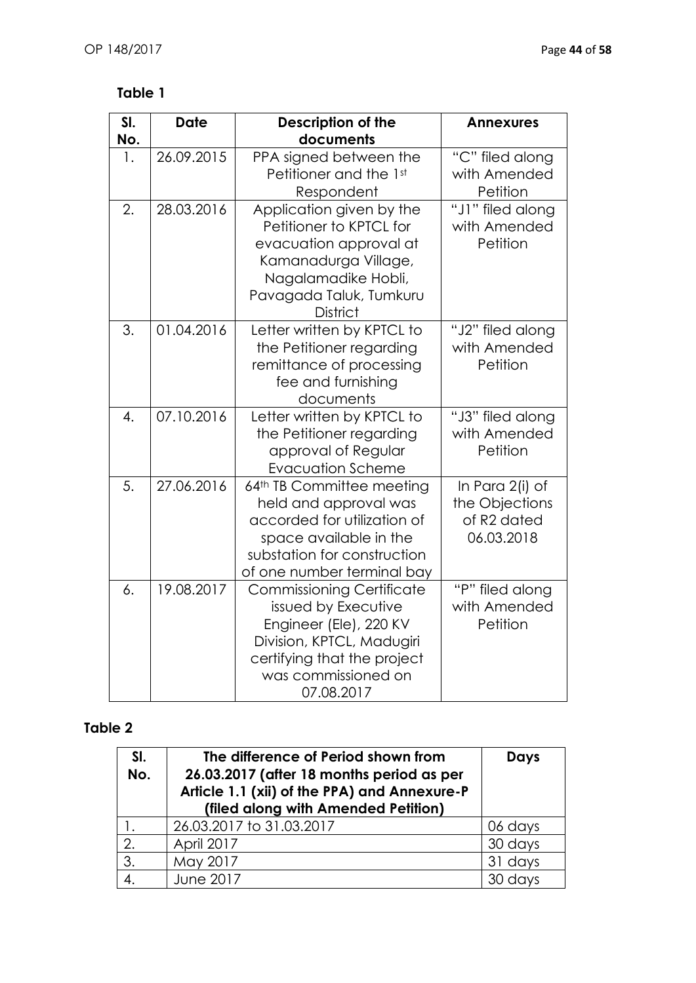# **Table 1**

| SI. | <b>Date</b> | <b>Description of the</b>                                                                                                                                                          | <b>Annexures</b>                                               |
|-----|-------------|------------------------------------------------------------------------------------------------------------------------------------------------------------------------------------|----------------------------------------------------------------|
| No. |             | documents                                                                                                                                                                          |                                                                |
| 1.  | 26.09.2015  | PPA signed between the<br>Petitioner and the 1st<br>Respondent                                                                                                                     | "C" filed along<br>with Amended<br>Petition                    |
| 2.  | 28.03.2016  | Application given by the<br>Petitioner to KPTCL for<br>evacuation approval at<br>Kamanadurga Village,<br>Nagalamadike Hobli,<br>Pavagada Taluk, Tumkuru<br><b>District</b>         | "J1" filed along<br>with Amended<br>Petition                   |
| 3.  | 01.04.2016  | Letter written by KPTCL to<br>the Petitioner regarding<br>remittance of processing<br>fee and furnishing<br>documents                                                              | "J2" filed along<br>with Amended<br>Petition                   |
| 4.  | 07.10.2016  | Letter written by KPTCL to<br>the Petitioner regarding<br>approval of Regular<br><b>Evacuation Scheme</b>                                                                          | "J3" filed along<br>with Amended<br>Petition                   |
| 5.  | 27.06.2016  | 64th TB Committee meeting<br>held and approval was<br>accorded for utilization of<br>space available in the<br>substation for construction<br>of one number terminal bay           | In Para 2(i) of<br>the Objections<br>of R2 dated<br>06.03.2018 |
| 6.  | 19.08.2017  | <b>Commissioning Certificate</b><br>issued by Executive<br>Engineer (Ele), 220 KV<br>Division, KPTCL, Madugiri<br>certifying that the project<br>was commissioned on<br>07.08.2017 | "P" filed along<br>with Amended<br>Petition                    |

# **Table 2**

| SI.<br>No. | The difference of Period shown from<br>26.03.2017 (after 18 months period as per<br>Article 1.1 (xii) of the PPA) and Annexure-P<br>(filed along with Amended Petition) | <b>Days</b> |
|------------|-------------------------------------------------------------------------------------------------------------------------------------------------------------------------|-------------|
|            | 26.03.2017 to 31.03.2017                                                                                                                                                | 06 days     |
| 2.         | April 2017                                                                                                                                                              | 30 days     |
| 3.         | May 2017                                                                                                                                                                | 31 days     |
|            | <b>June 2017</b>                                                                                                                                                        | 30 days     |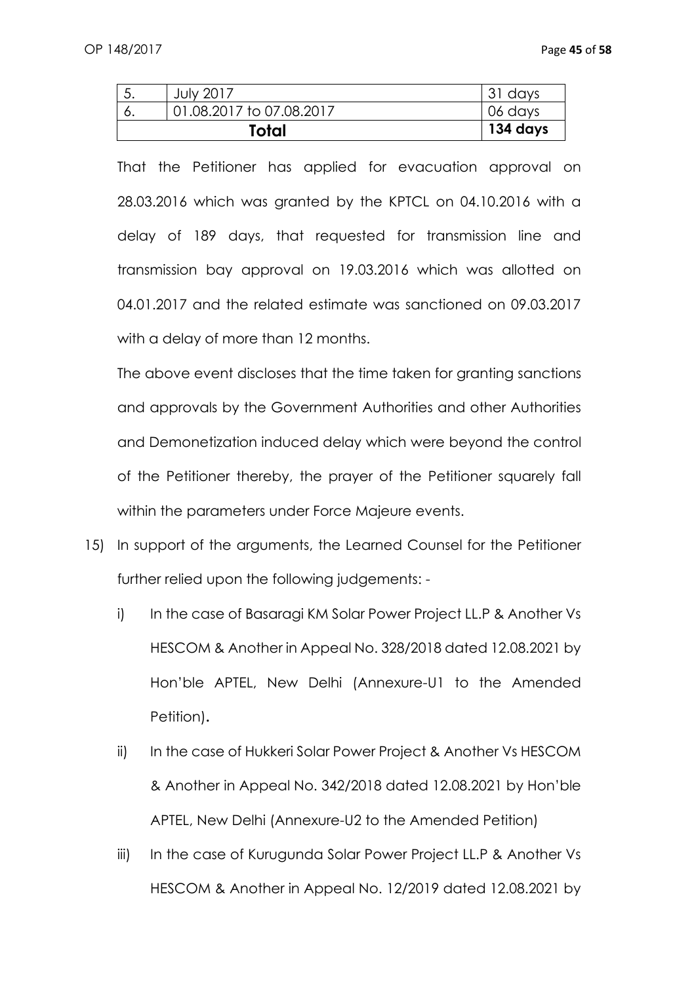| <b>July 2017</b>         | 31 days  |
|--------------------------|----------|
| 01.08.2017 to 07.08.2017 | 06 days  |
| Total                    | 134 days |

That the Petitioner has applied for evacuation approval on 28.03.2016 which was granted by the KPTCL on 04.10.2016 with a delay of 189 days, that requested for transmission line and transmission bay approval on 19.03.2016 which was allotted on 04.01.2017 and the related estimate was sanctioned on 09.03.2017 with a delay of more than 12 months.

The above event discloses that the time taken for granting sanctions and approvals by the Government Authorities and other Authorities and Demonetization induced delay which were beyond the control of the Petitioner thereby, the prayer of the Petitioner squarely fall within the parameters under Force Majeure events.

- 15) In support of the arguments, the Learned Counsel for the Petitioner further relied upon the following judgements:
	- i) In the case of Basaragi KM Solar Power Project LL.P & Another Vs HESCOM & Another in Appeal No. 328/2018 dated 12.08.2021 by Hon'ble APTEL, New Delhi (Annexure-U1 to the Amended Petition)**.**
	- ii) In the case of Hukkeri Solar Power Project & Another Vs HESCOM & Another in Appeal No. 342/2018 dated 12.08.2021 by Hon'ble APTEL, New Delhi (Annexure-U2 to the Amended Petition)
	- iii) In the case of Kurugunda Solar Power Project LL.P & Another Vs HESCOM & Another in Appeal No. 12/2019 dated 12.08.2021 by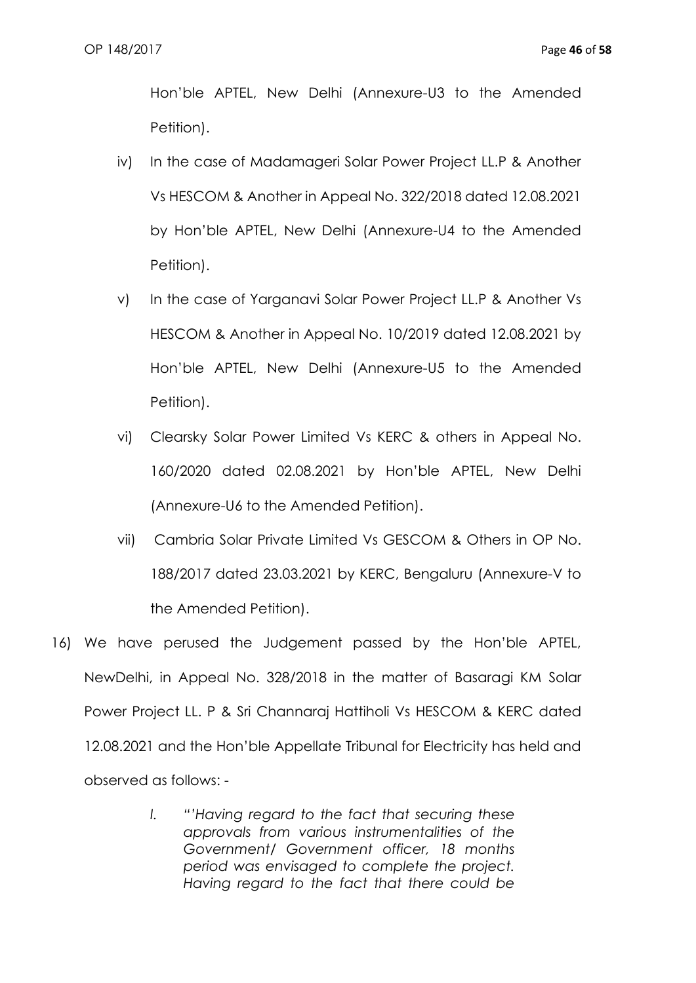Hon'ble APTEL, New Delhi (Annexure-U3 to the Amended Petition).

- iv) In the case of Madamageri Solar Power Project LL.P & Another Vs HESCOM & Another in Appeal No. 322/2018 dated 12.08.2021 by Hon'ble APTEL, New Delhi (Annexure-U4 to the Amended Petition).
- v) In the case of Yarganavi Solar Power Project LL.P & Another Vs HESCOM & Another in Appeal No. 10/2019 dated 12.08.2021 by Hon'ble APTEL, New Delhi (Annexure-U5 to the Amended Petition).
- vi) Clearsky Solar Power Limited Vs KERC & others in Appeal No. 160/2020 dated 02.08.2021 by Hon'ble APTEL, New Delhi (Annexure-U6 to the Amended Petition).
- vii) Cambria Solar Private Limited Vs GESCOM & Others in OP No. 188/2017 dated 23.03.2021 by KERC, Bengaluru (Annexure-V to the Amended Petition).
- 16) We have perused the Judgement passed by the Hon'ble APTEL, NewDelhi, in Appeal No. 328/2018 in the matter of Basaragi KM Solar Power Project LL. P & Sri Channaraj Hattiholi Vs HESCOM & KERC dated 12.08.2021 and the Hon'ble Appellate Tribunal for Electricity has held and observed as follows: -
	- *I. "'Having regard to the fact that securing these approvals from various instrumentalities of the Government/ Government officer, 18 months period was envisaged to complete the project. Having regard to the fact that there could be*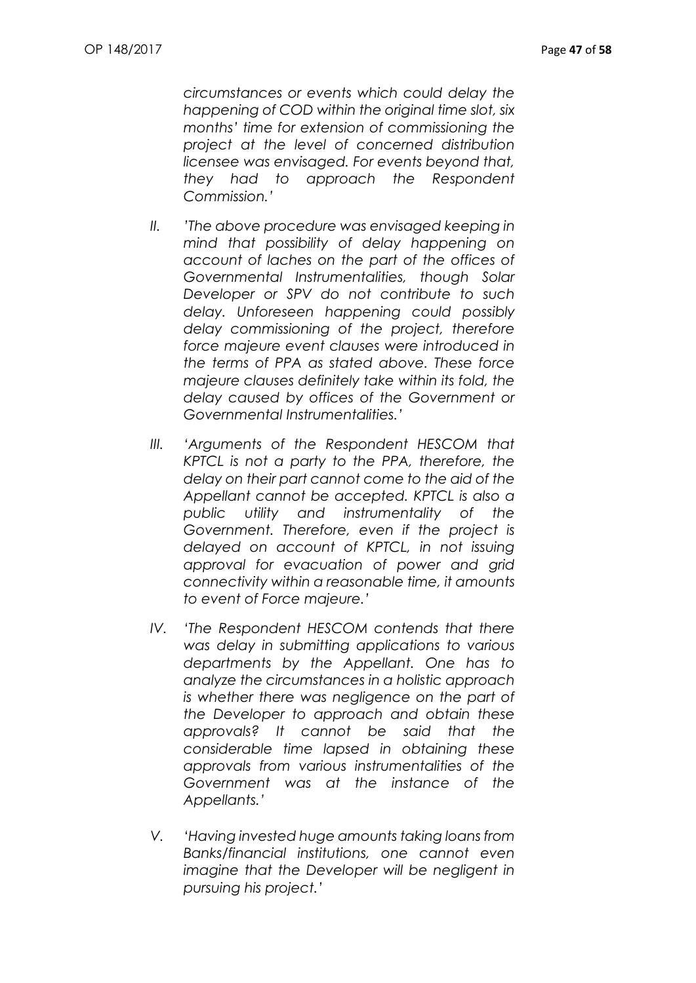*circumstances or events which could delay the happening of COD within the original time slot, six months' time for extension of commissioning the project at the level of concerned distribution licensee was envisaged. For events beyond that, they had to approach the Respondent Commission.'*

- *II. 'The above procedure was envisaged keeping in mind that possibility of delay happening on account of laches on the part of the offices of Governmental Instrumentalities, though Solar Developer or SPV do not contribute to such delay. Unforeseen happening could possibly delay commissioning of the project, therefore force majeure event clauses were introduced in the terms of PPA as stated above. These force majeure clauses definitely take within its fold, the delay caused by offices of the Government or Governmental Instrumentalities.'*
- *III. 'Arguments of the Respondent HESCOM that KPTCL is not a party to the PPA, therefore, the delay on their part cannot come to the aid of the Appellant cannot be accepted. KPTCL is also a public utility and instrumentality of the Government. Therefore, even if the project is delayed on account of KPTCL, in not issuing approval for evacuation of power and grid connectivity within a reasonable time, it amounts to event of Force majeure.'*
- *IV. 'The Respondent HESCOM contends that there was delay in submitting applications to various departments by the Appellant. One has to analyze the circumstances in a holistic approach is whether there was negligence on the part of the Developer to approach and obtain these approvals? It cannot be said that the considerable time lapsed in obtaining these approvals from various instrumentalities of the Government was at the instance of the Appellants.'*
- *V. 'Having invested huge amounts taking loans from Banks/financial institutions, one cannot even imagine that the Developer will be negligent in pursuing his project.'*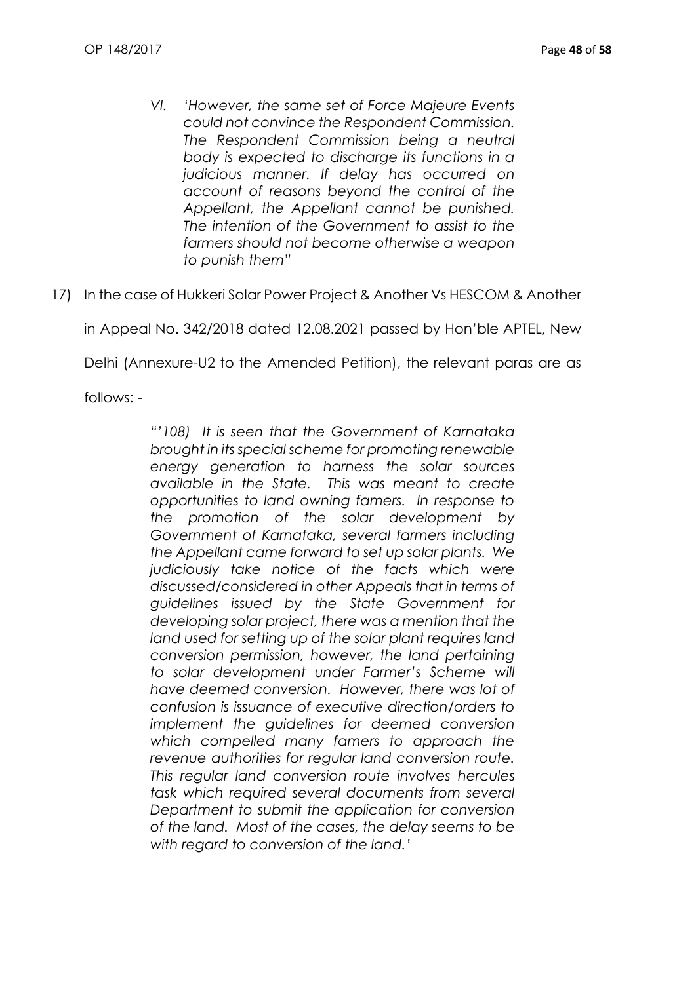- *VI. 'However, the same set of Force Majeure Events could not convince the Respondent Commission. The Respondent Commission being a neutral body is expected to discharge its functions in a judicious manner. If delay has occurred on account of reasons beyond the control of the Appellant, the Appellant cannot be punished. The intention of the Government to assist to the farmers should not become otherwise a weapon to punish them"*
- 17) In the case of Hukkeri Solar Power Project & Another Vs HESCOM & Another

in Appeal No. 342/2018 dated 12.08.2021 passed by Hon'ble APTEL, New

Delhi (Annexure-U2 to the Amended Petition), the relevant paras are as

follows: -

*"'108) It is seen that the Government of Karnataka brought in its special scheme for promoting renewable energy generation to harness the solar sources available in the State. This was meant to create opportunities to land owning famers. In response to the promotion of the solar development by Government of Karnataka, several farmers including the Appellant came forward to set up solar plants. We judiciously take notice of the facts which were discussed/considered in other Appeals that in terms of guidelines issued by the State Government for developing solar project, there was a mention that the land used for setting up of the solar plant requires land conversion permission, however, the land pertaining to solar development under Farmer's Scheme will have deemed conversion. However, there was lot of confusion is issuance of executive direction/orders to implement the guidelines for deemed conversion which compelled many famers to approach the revenue authorities for regular land conversion route. This regular land conversion route involves hercules task which required several documents from several Department to submit the application for conversion of the land. Most of the cases, the delay seems to be with regard to conversion of the land.'*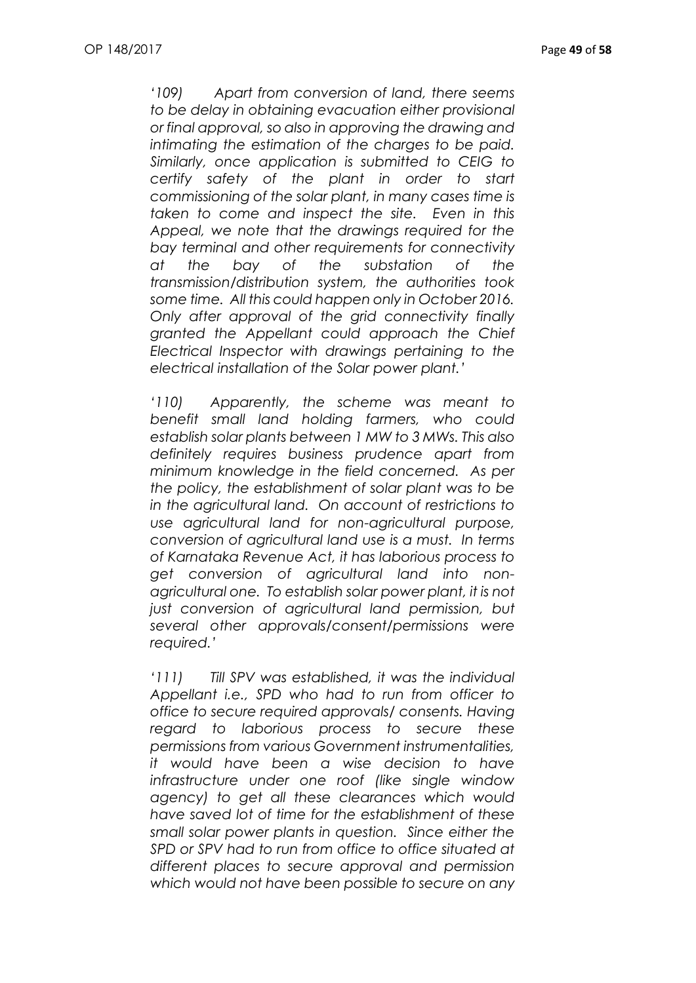*'109) Apart from conversion of land, there seems to be delay in obtaining evacuation either provisional or final approval, so also in approving the drawing and intimating the estimation of the charges to be paid. Similarly, once application is submitted to CEIG to certify safety of the plant in order to start commissioning of the solar plant, in many cases time is taken to come and inspect the site. Even in this Appeal, we note that the drawings required for the bay terminal and other requirements for connectivity at the bay of the substation of the transmission/distribution system, the authorities took some time. All this could happen only in October 2016. Only after approval of the grid connectivity finally granted the Appellant could approach the Chief Electrical Inspector with drawings pertaining to the electrical installation of the Solar power plant.'*

*'110) Apparently, the scheme was meant to benefit small land holding farmers, who could establish solar plants between 1 MW to 3 MWs. This also definitely requires business prudence apart from minimum knowledge in the field concerned. As per the policy, the establishment of solar plant was to be in the agricultural land. On account of restrictions to use agricultural land for non-agricultural purpose, conversion of agricultural land use is a must. In terms of Karnataka Revenue Act, it has laborious process to get conversion of agricultural land into nonagricultural one. To establish solar power plant, it is not just conversion of agricultural land permission, but several other approvals/consent/permissions were required.'*

*'111) Till SPV was established, it was the individual Appellant i.e., SPD who had to run from officer to office to secure required approvals/ consents. Having regard to laborious process to secure these permissions from various Government instrumentalities, it would have been a wise decision to have infrastructure under one roof (like single window agency) to get all these clearances which would have saved lot of time for the establishment of these small solar power plants in question. Since either the SPD or SPV had to run from office to office situated at different places to secure approval and permission which would not have been possible to secure on any*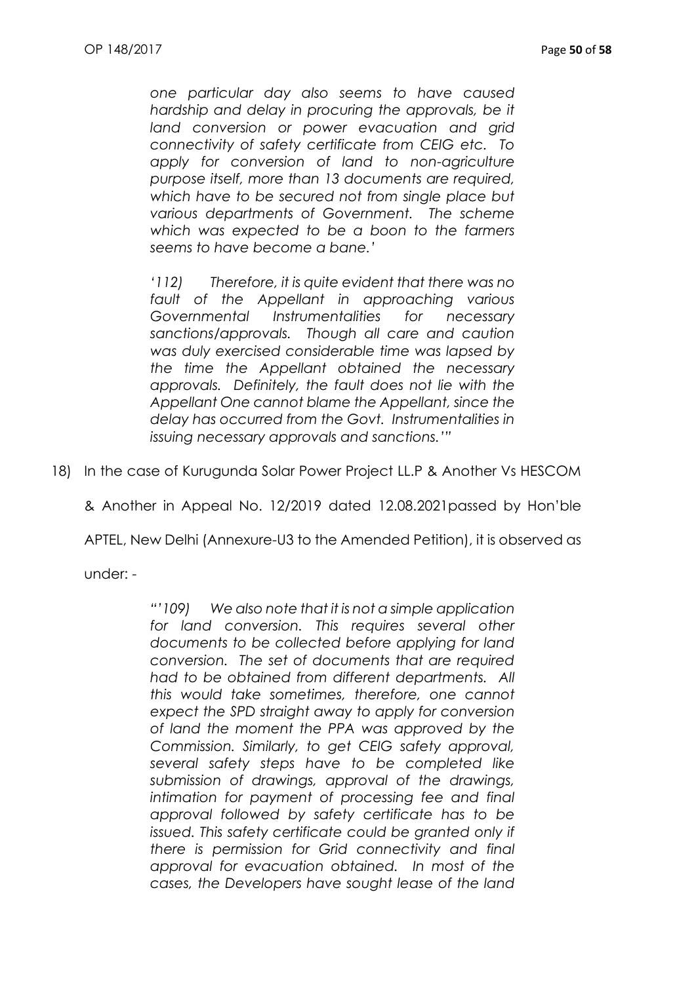*one particular day also seems to have caused hardship and delay in procuring the approvals, be it land conversion or power evacuation and grid connectivity of safety certificate from CEIG etc. To apply for conversion of land to non-agriculture purpose itself, more than 13 documents are required, which have to be secured not from single place but various departments of Government. The scheme which was expected to be a boon to the farmers seems to have become a bane.'*

*'112) Therefore, it is quite evident that there was no fault of the Appellant in approaching various Governmental Instrumentalities for necessary sanctions/approvals. Though all care and caution was duly exercised considerable time was lapsed by the time the Appellant obtained the necessary approvals. Definitely, the fault does not lie with the Appellant One cannot blame the Appellant, since the delay has occurred from the Govt. Instrumentalities in issuing necessary approvals and sanctions.'"*

18) In the case of Kurugunda Solar Power Project LL.P & Another Vs HESCOM

& Another in Appeal No. 12/2019 dated 12.08.2021passed by Hon'ble

APTEL, New Delhi (Annexure-U3 to the Amended Petition), it is observed as

under: -

*"'109) We also note that it is not a simple application*  for land conversion. This requires several other *documents to be collected before applying for land conversion. The set of documents that are required had to be obtained from different departments. All this would take sometimes, therefore, one cannot expect the SPD straight away to apply for conversion of land the moment the PPA was approved by the Commission. Similarly, to get CEIG safety approval, several safety steps have to be completed like submission of drawings, approval of the drawings, intimation for payment of processing fee and final approval followed by safety certificate has to be issued. This safety certificate could be granted only if there is permission for Grid connectivity and final approval for evacuation obtained. In most of the cases, the Developers have sought lease of the land*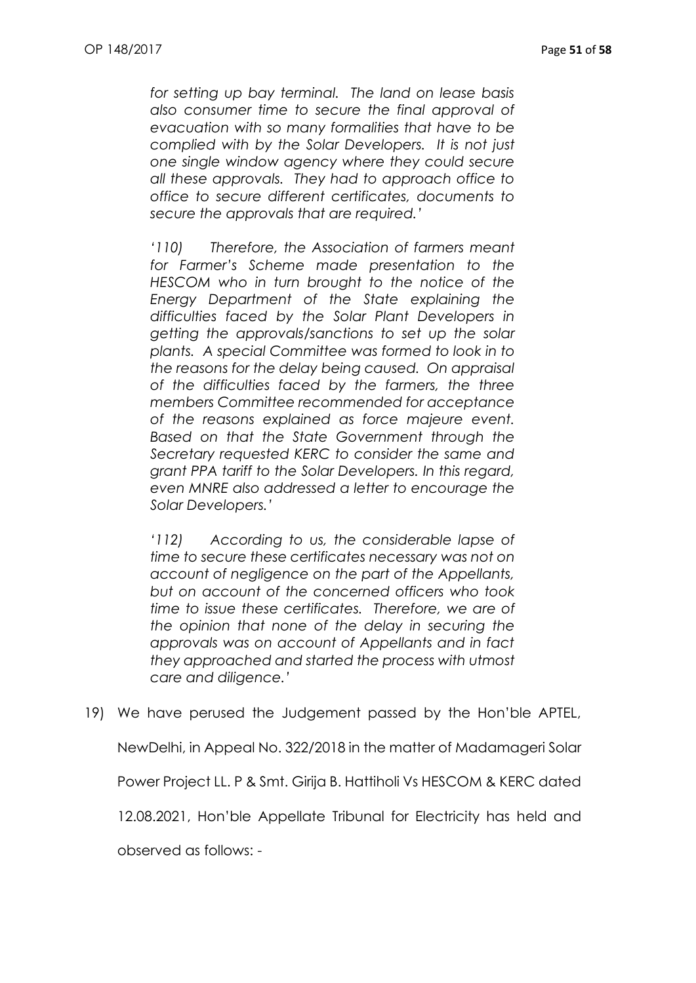*for setting up bay terminal. The land on lease basis also consumer time to secure the final approval of evacuation with so many formalities that have to be complied with by the Solar Developers. It is not just one single window agency where they could secure all these approvals. They had to approach office to office to secure different certificates, documents to secure the approvals that are required.'*

*'110) Therefore, the Association of farmers meant for Farmer's Scheme made presentation to the HESCOM who in turn brought to the notice of the Energy Department of the State explaining the difficulties faced by the Solar Plant Developers in getting the approvals/sanctions to set up the solar plants. A special Committee was formed to look in to the reasons for the delay being caused. On appraisal of the difficulties faced by the farmers, the three members Committee recommended for acceptance of the reasons explained as force majeure event. Based on that the State Government through the Secretary requested KERC to consider the same and grant PPA tariff to the Solar Developers. In this regard, even MNRE also addressed a letter to encourage the Solar Developers.'*

*'112) According to us, the considerable lapse of time to secure these certificates necessary was not on account of negligence on the part of the Appellants, but on account of the concerned officers who took time to issue these certificates. Therefore, we are of the opinion that none of the delay in securing the approvals was on account of Appellants and in fact they approached and started the process with utmost care and diligence.'*

19) We have perused the Judgement passed by the Hon'ble APTEL,

NewDelhi, in Appeal No. 322/2018 in the matter of Madamageri Solar

Power Project LL. P & Smt. Girija B. Hattiholi Vs HESCOM & KERC dated

12.08.2021, Hon'ble Appellate Tribunal for Electricity has held and

observed as follows: -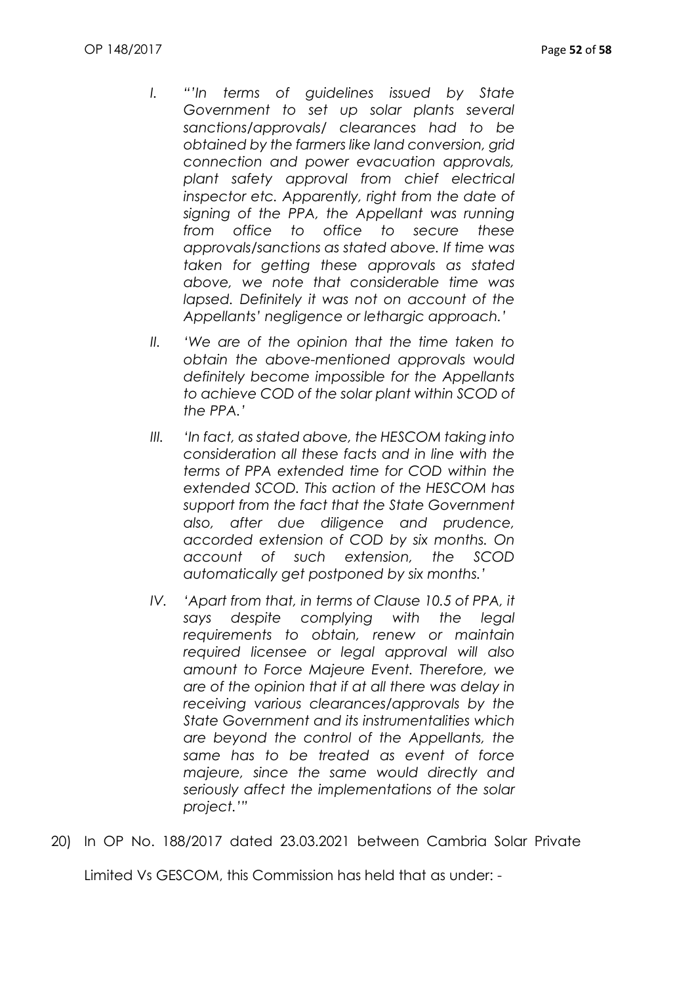- *I. "'In terms of guidelines issued by State Government to set up solar plants several sanctions/approvals/ clearances had to be obtained by the farmers like land conversion, grid connection and power evacuation approvals, plant safety approval from chief electrical inspector etc. Apparently, right from the date of signing of the PPA, the Appellant was running from office to office to secure these approvals/sanctions as stated above. If time was taken for getting these approvals as stated above, we note that considerable time was lapsed. Definitely it was not on account of the Appellants' negligence or lethargic approach.'*
- *II. 'We are of the opinion that the time taken to obtain the above-mentioned approvals would definitely become impossible for the Appellants to achieve COD of the solar plant within SCOD of the PPA.'*
- *III. 'In fact, as stated above, the HESCOM taking into consideration all these facts and in line with the terms of PPA extended time for COD within the extended SCOD. This action of the HESCOM has support from the fact that the State Government also, after due diligence and prudence, accorded extension of COD by six months. On account of such extension, the SCOD automatically get postponed by six months.'*
- *IV. 'Apart from that, in terms of Clause 10.5 of PPA, it says despite complying with the legal requirements to obtain, renew or maintain required licensee or legal approval will also amount to Force Majeure Event. Therefore, we are of the opinion that if at all there was delay in receiving various clearances/approvals by the State Government and its instrumentalities which are beyond the control of the Appellants, the same has to be treated as event of force majeure, since the same would directly and seriously affect the implementations of the solar project.'"*
- 20) In OP No. 188/2017 dated 23.03.2021 between Cambria Solar Private

Limited Vs GESCOM, this Commission has held that as under: -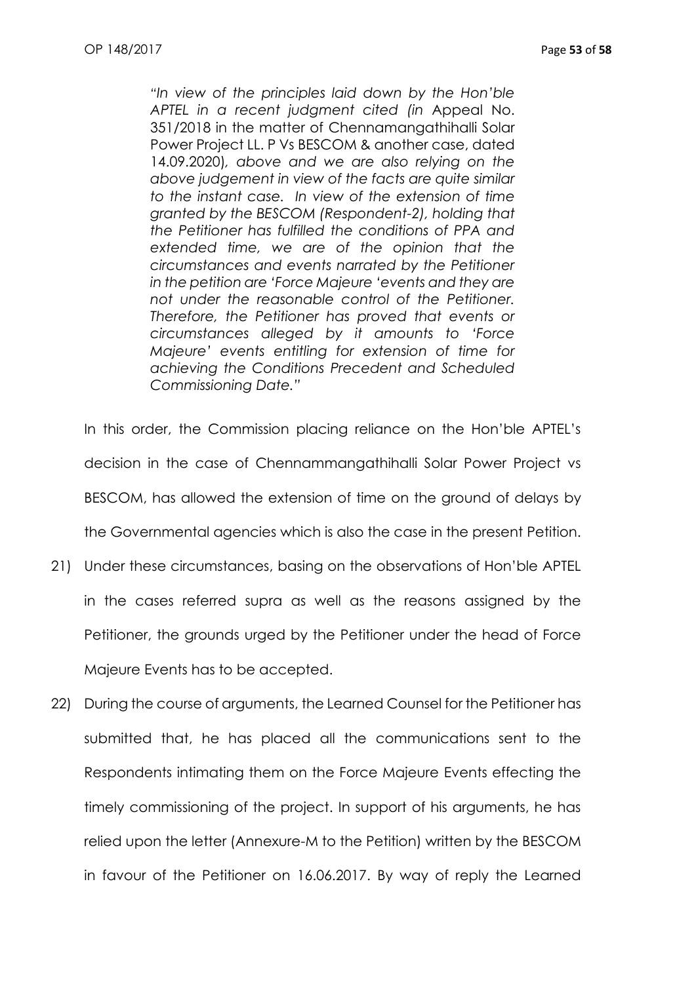*"In view of the principles laid down by the Hon'ble APTEL in a recent judgment cited (in* Appeal No. 351/2018 in the matter of Chennamangathihalli Solar Power Project LL. P Vs BESCOM & another case, dated 14.09.2020)*, above and we are also relying on the above judgement in view of the facts are quite similar to the instant case. In view of the extension of time granted by the BESCOM (Respondent-2), holding that the Petitioner has fulfilled the conditions of PPA and extended time, we are of the opinion that the circumstances and events narrated by the Petitioner in the petition are 'Force Majeure 'events and they are not under the reasonable control of the Petitioner. Therefore, the Petitioner has proved that events or circumstances alleged by it amounts to 'Force Majeure' events entitling for extension of time for achieving the Conditions Precedent and Scheduled Commissioning Date."*

In this order, the Commission placing reliance on the Hon'ble APTEL's decision in the case of Chennammangathihalli Solar Power Project vs BESCOM, has allowed the extension of time on the ground of delays by the Governmental agencies which is also the case in the present Petition.

- 21) Under these circumstances, basing on the observations of Hon'ble APTEL in the cases referred supra as well as the reasons assigned by the Petitioner, the grounds urged by the Petitioner under the head of Force Majeure Events has to be accepted.
- 22) During the course of arguments, the Learned Counsel for the Petitioner has submitted that, he has placed all the communications sent to the Respondents intimating them on the Force Majeure Events effecting the timely commissioning of the project. In support of his arguments, he has relied upon the letter (Annexure-M to the Petition) written by the BESCOM in favour of the Petitioner on 16.06.2017. By way of reply the Learned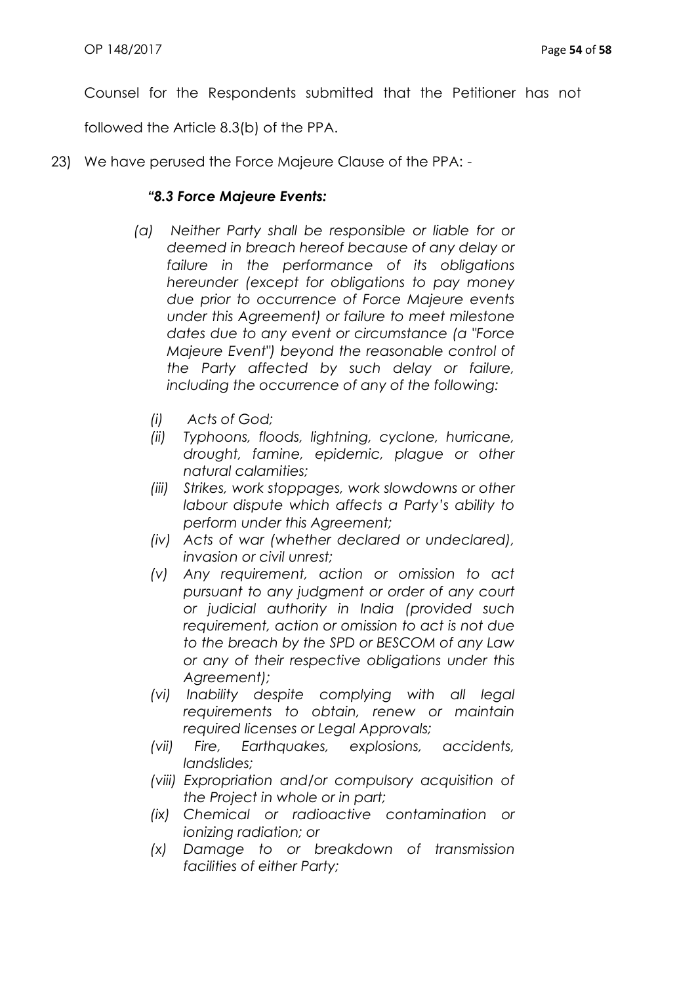Counsel for the Respondents submitted that the Petitioner has not

followed the Article 8.3(b) of the PPA.

23) We have perused the Force Majeure Clause of the PPA: -

## *"8.3 Force Majeure Events:*

- *(a) Neither Party shall be responsible or liable for or deemed in breach hereof because of any delay or failure in the performance of its obligations hereunder (except for obligations to pay money due prior to occurrence of Force Majeure events under this Agreement) or failure to meet milestone dates due to any event or circumstance (a "Force Majeure Event") beyond the reasonable control of the Party affected by such delay or failure, including the occurrence of any of the following:*
	- *(i) Acts of God;*
	- *(ii) Typhoons, floods, lightning, cyclone, hurricane, drought, famine, epidemic, plague or other natural calamities;*
	- *(iii) Strikes, work stoppages, work slowdowns or other labour dispute which affects a Party's ability to perform under this Agreement;*
	- *(iv) Acts of war (whether declared or undeclared), invasion or civil unrest;*
	- *(v) Any requirement, action or omission to act pursuant to any judgment or order of any court or judicial authority in India (provided such requirement, action or omission to act is not due to the breach by the SPD or BESCOM of any Law or any of their respective obligations under this Agreement);*
	- *(vi) Inability despite complying with all legal requirements to obtain, renew or maintain required licenses or Legal Approvals;*
	- *(vii) Fire, Earthquakes, explosions, accidents, landslides;*
	- *(viii) Expropriation and/or compulsory acquisition of the Project in whole or in part;*
	- *(ix) Chemical or radioactive contamination or ionizing radiation; or*
	- *(x) Damage to or breakdown of transmission facilities of either Party;*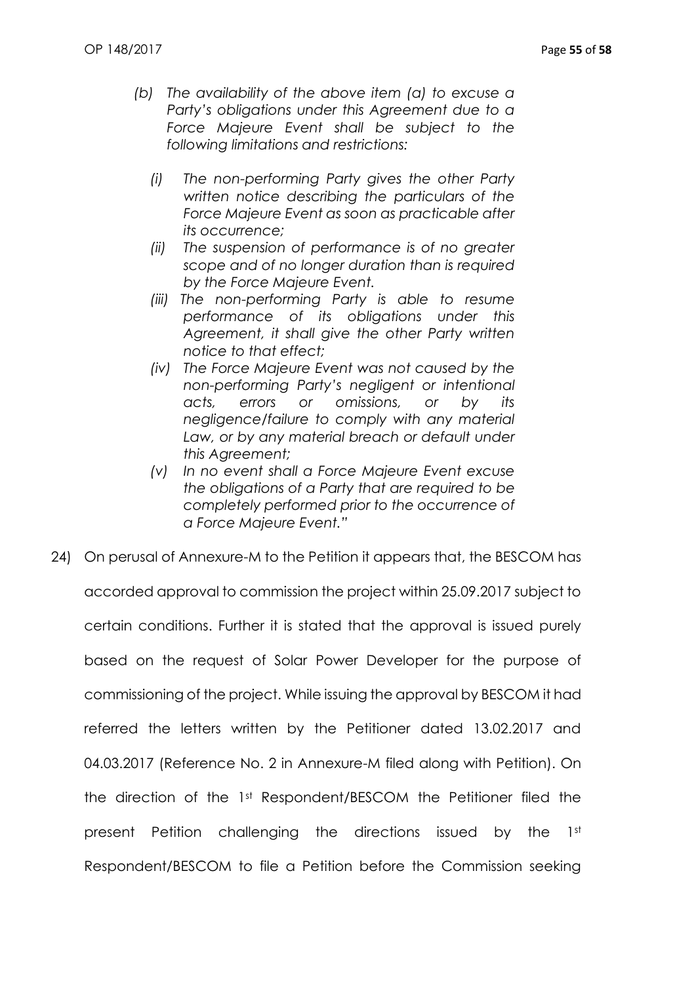- *(b) The availability of the above item (a) to excuse a Party's obligations under this Agreement due to a Force Majeure Event shall be subject to the following limitations and restrictions:*
	- *(i) The non-performing Party gives the other Party written notice describing the particulars of the Force Majeure Event as soon as practicable after its occurrence;*
	- *(ii) The suspension of performance is of no greater scope and of no longer duration than is required by the Force Majeure Event.*
	- *(iii) The non-performing Party is able to resume performance of its obligations under this Agreement, it shall give the other Party written notice to that effect;*
	- *(iv) The Force Majeure Event was not caused by the non-performing Party's negligent or intentional acts, errors or omissions, or by its negligence/failure to comply with any material*  Law, or by any material breach or default under *this Agreement;*
	- *(v) In no event shall a Force Majeure Event excuse the obligations of a Party that are required to be completely performed prior to the occurrence of a Force Majeure Event."*
- 24) On perusal of Annexure-M to the Petition it appears that, the BESCOM has accorded approval to commission the project within 25.09.2017 subject to certain conditions. Further it is stated that the approval is issued purely based on the request of Solar Power Developer for the purpose of commissioning of the project. While issuing the approval by BESCOM it had referred the letters written by the Petitioner dated 13.02.2017 and 04.03.2017 (Reference No. 2 in Annexure-M filed along with Petition). On the direction of the 1st Respondent/BESCOM the Petitioner filed the present Petition challenging the directions issued by the 1st Respondent/BESCOM to file a Petition before the Commission seeking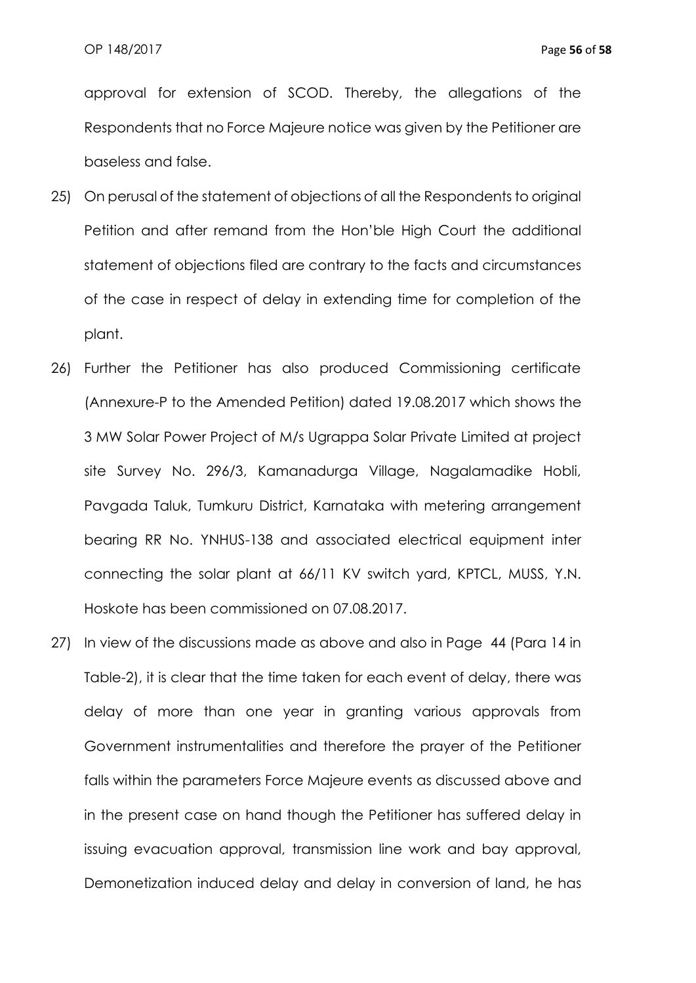approval for extension of SCOD. Thereby, the allegations of the Respondents that no Force Majeure notice was given by the Petitioner are baseless and false.

- 25) On perusal of the statement of objections of all the Respondents to original Petition and after remand from the Hon'ble High Court the additional statement of objections filed are contrary to the facts and circumstances of the case in respect of delay in extending time for completion of the plant.
- 26) Further the Petitioner has also produced Commissioning certificate (Annexure-P to the Amended Petition) dated 19.08.2017 which shows the 3 MW Solar Power Project of M/s Ugrappa Solar Private Limited at project site Survey No. 296/3, Kamanadurga Village, Nagalamadike Hobli, Pavgada Taluk, Tumkuru District, Karnataka with metering arrangement bearing RR No. YNHUS-138 and associated electrical equipment inter connecting the solar plant at 66/11 KV switch yard, KPTCL, MUSS, Y.N. Hoskote has been commissioned on 07.08.2017.
- 27) In view of the discussions made as above and also in Page 44 (Para 14 in Table-2), it is clear that the time taken for each event of delay, there was delay of more than one year in granting various approvals from Government instrumentalities and therefore the prayer of the Petitioner falls within the parameters Force Majeure events as discussed above and in the present case on hand though the Petitioner has suffered delay in issuing evacuation approval, transmission line work and bay approval, Demonetization induced delay and delay in conversion of land, he has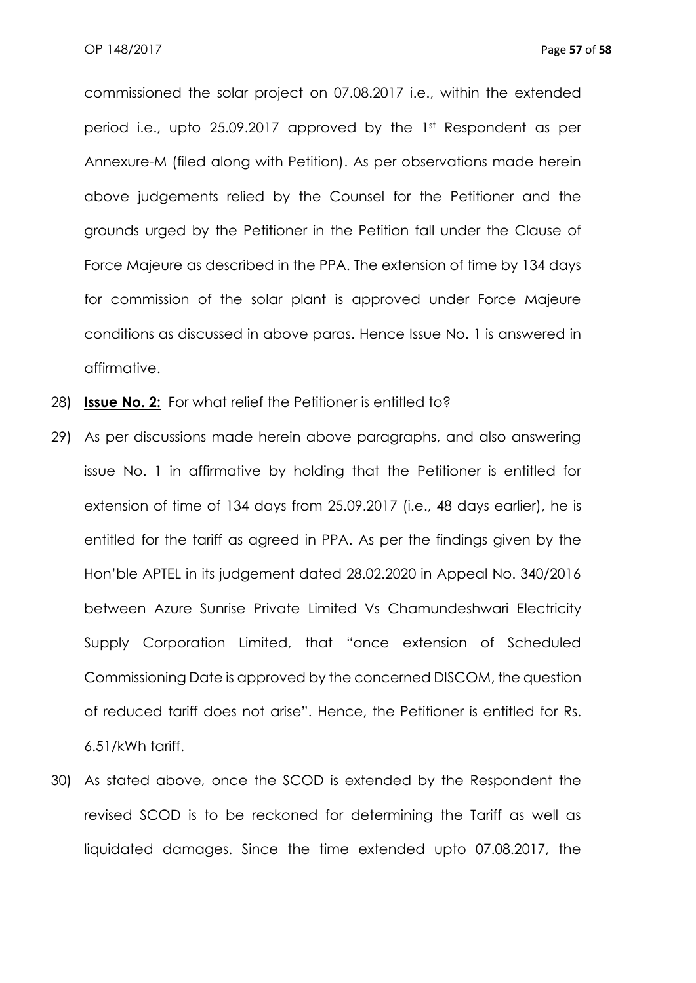commissioned the solar project on 07.08.2017 i.e., within the extended period i.e., upto 25.09.2017 approved by the 1st Respondent as per Annexure-M (filed along with Petition). As per observations made herein above judgements relied by the Counsel for the Petitioner and the grounds urged by the Petitioner in the Petition fall under the Clause of Force Majeure as described in the PPA. The extension of time by 134 days for commission of the solar plant is approved under Force Majeure conditions as discussed in above paras. Hence Issue No. 1 is answered in affirmative.

- 28) **Issue No. 2:** For what relief the Petitioner is entitled to?
- 29) As per discussions made herein above paragraphs, and also answering issue No. 1 in affirmative by holding that the Petitioner is entitled for extension of time of 134 days from 25.09.2017 (i.e., 48 days earlier), he is entitled for the tariff as agreed in PPA. As per the findings given by the Hon'ble APTEL in its judgement dated 28.02.2020 in Appeal No. 340/2016 between Azure Sunrise Private Limited Vs Chamundeshwari Electricity Supply Corporation Limited, that "once extension of Scheduled Commissioning Date is approved by the concerned DISCOM, the question of reduced tariff does not arise". Hence, the Petitioner is entitled for Rs. 6.51/kWh tariff.
- 30) As stated above, once the SCOD is extended by the Respondent the revised SCOD is to be reckoned for determining the Tariff as well as liquidated damages. Since the time extended upto 07.08.2017, the